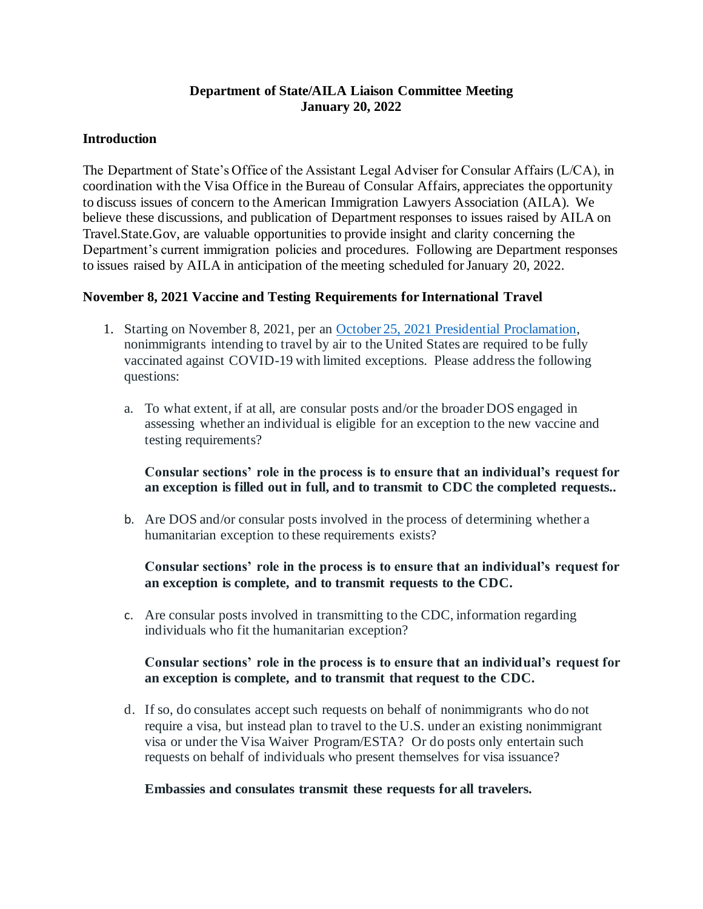## **Department of State/AILA Liaison Committee Meeting January 20, 2022**

#### **Introduction**

The Department of State's Office of the Assistant Legal Adviser for Consular Affairs (L/CA), in coordination with the Visa Office in the Bureau of Consular Affairs, appreciates the opportunity to discuss issues of concern to the American Immigration Lawyers Association (AILA). We believe these discussions, and publication of Department responses to issues raised by AILA on Travel.State.Gov, are valuable opportunities to provide insight and clarity concerning the Department's current immigration policies and procedures. Following are Department responses to issues raised by AILA in anticipation of the meeting scheduled for January 20, 2022.

## **November 8, 2021 Vaccine and Testing Requirements for International Travel**

- 1. Starting on November 8, 2021, per an October 25, 2021 Presidential Proclamation, nonimmigrants intending to travel by air to the United States are required to be fully vaccinated against COVID-19 with limited exceptions. Please address the following questions:
	- a. To what extent, if at all, are consular posts and/or the broader DOS engaged in assessing whether an individual is eligible for an exception to the new vaccine and testing requirements?

## **Consular sections' role in the process is to ensure that an individual's request for an exception is filled out in full, and to transmit to CDC the completed requests..**

b. Are DOS and/or consular posts involved in the process of determining whether a humanitarian exception to these requirements exists?

**Consular sections' role in the process is to ensure that an individual's request for an exception is complete, and to transmit requests to the CDC.**

c. Are consular posts involved in transmitting to the CDC, information regarding individuals who fit the humanitarian exception?

## **Consular sections' role in the process is to ensure that an individual's request for an exception is complete, and to transmit that request to the CDC.**

d. If so, do consulates accept such requests on behalf of nonimmigrants who do not require a visa, but instead plan to travel to the U.S. under an existing nonimmigrant visa or under the Visa Waiver Program/ESTA? Or do posts only entertain such requests on behalf of individuals who present themselves for visa issuance?

#### **Embassies and consulates transmit these requests for all travelers.**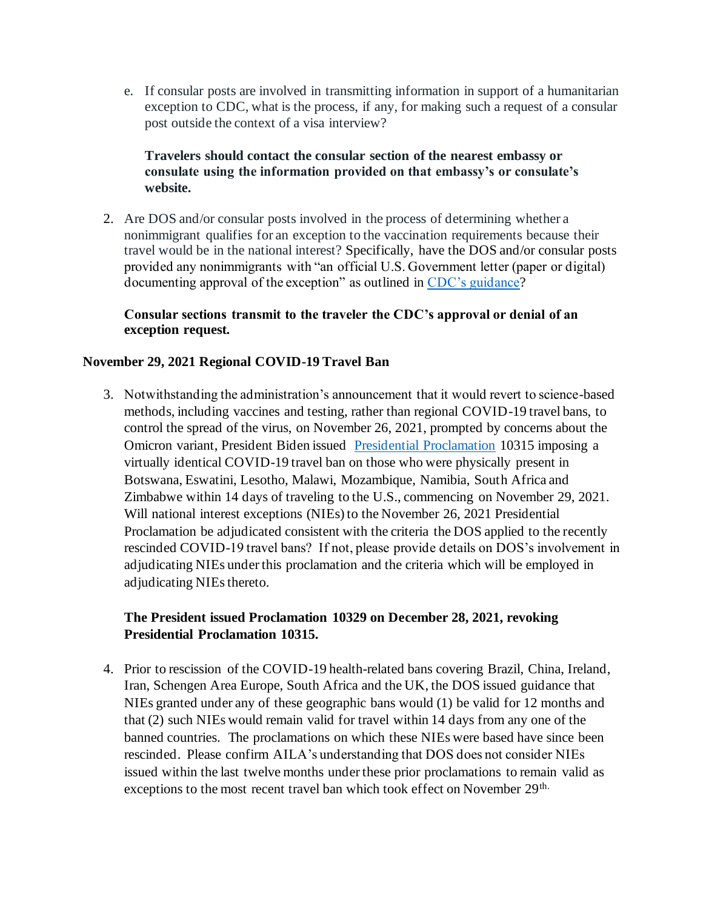e. If consular posts are involved in transmitting information in support of a humanitarian exception to CDC, what is the process, if any, for making such a request of a consular post outside the context of a visa interview?

## **Travelers should contact the consular section of the nearest embassy or consulate using the information provided on that embassy's or consulate's website.**

2. Are DOS and/or consular posts involved in the process of determining whether a nonimmigrant qualifies for an exception to the vaccination requirements because their travel would be in the national interest? Specifically, have the DOS and/or consular posts provided any nonimmigrants with "an official U.S. Government letter (paper or digital) documenting approval of the exception" as outlined in CDC's guidance?

## **Consular sections transmit to the traveler the CDC's approval or denial of an exception request.**

## **November 29, 2021 Regional COVID-19 Travel Ban**

3. Notwithstanding the administration's announcement that it would revert to science-based methods, including vaccines and testing, rather than regional COVID-19 travel bans, to control the spread of the virus, on November 26, 2021, prompted by concerns about the Omicron variant, President Biden issued Presidential Proclamation 10315 imposing a virtually identical COVID-19 travel ban on those who were physically present in Botswana, Eswatini, Lesotho, Malawi, Mozambique, Namibia, South Africa and Zimbabwe within 14 days of traveling to the U.S., commencing on November 29, 2021. Will national interest exceptions (NIEs) to the November 26, 2021 Presidential Proclamation be adjudicated consistent with the criteria the DOS applied to the recently rescinded COVID-19 travel bans? If not, please provide details on DOS's involvement in adjudicating NIEs under this proclamation and the criteria which will be employed in adjudicating NIEs thereto.

## **The President issued Proclamation 10329 on December 28, 2021, revoking Presidential Proclamation 10315.**

4. Prior to rescission of the COVID-19 health-related bans covering Brazil, China, Ireland, Iran, Schengen Area Europe, South Africa and the UK, the DOS issued guidance that NIEs granted under any of these geographic bans would (1) be valid for 12 months and that (2) such NIEs would remain valid for travel within 14 days from any one of the banned countries. The proclamations on which these NIEs were based have since been rescinded. Please confirm AILA's understanding that DOS does not consider NIEs issued within the last twelve months under these prior proclamations to remain valid as exceptions to the most recent travel ban which took effect on November 29<sup>th.</sup>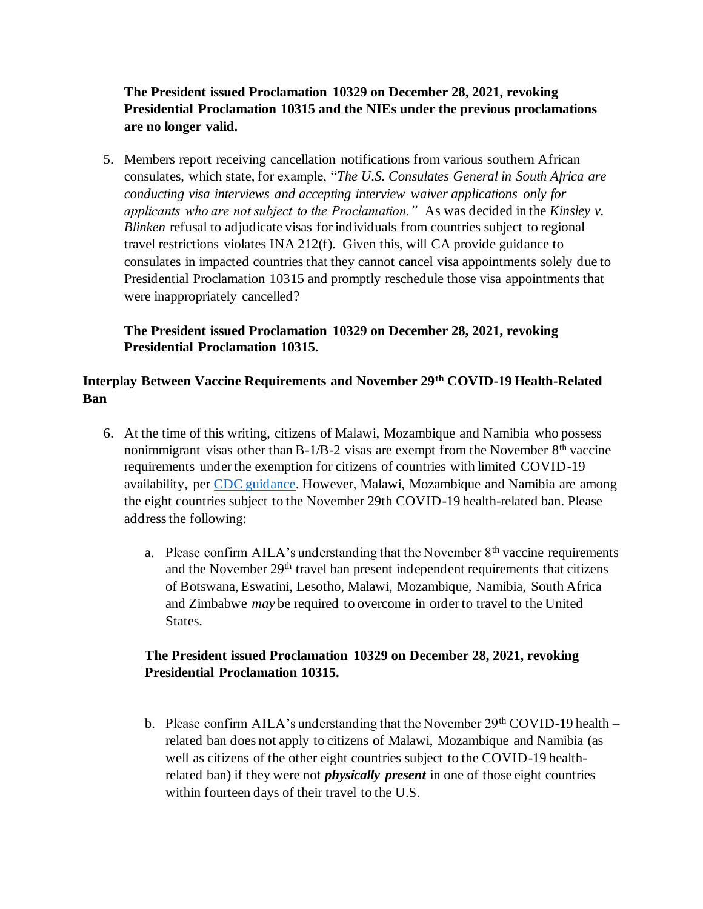**The President issued Proclamation 10329 on December 28, 2021, revoking Presidential Proclamation 10315 and the NIEs under the previous proclamations are no longer valid.**

5. Members report receiving cancellation notifications from various southern African consulates, which state, for example, "*The U.S. Consulates General in South Africa are conducting visa interviews and accepting interview waiver applications only for applicants who are not subject to the Proclamation."*As was decided in the *Kinsley v. Blinken* refusal to adjudicate visas for individuals from countries subject to regional travel restrictions violates INA 212(f). Given this, will CA provide guidance to consulates in impacted countries that they cannot cancel visa appointments solely due to Presidential Proclamation 10315 and promptly reschedule those visa appointments that were inappropriately cancelled?

# **The President issued Proclamation 10329 on December 28, 2021, revoking Presidential Proclamation 10315.**

# **Interplay Between Vaccine Requirements and November 29th COVID-19 Health-Related Ban**

- 6. At the time of this writing, citizens of Malawi, Mozambique and Namibia who possess nonimmigrant visas other than  $B-1/B-2$  visas are exempt from the November  $8<sup>th</sup>$  vaccine requirements under the exemption for citizens of countries with limited COVID-19 availability, per CDC guidance. However, Malawi, Mozambique and Namibia are among the eight countries subject to the November 29th COVID-19 health-related ban. Please address the following:
	- a. Please confirm  $\text{AILA}$ 's understanding that the November  $8^{\text{th}}$  vaccine requirements and the November 29<sup>th</sup> travel ban present independent requirements that citizens of Botswana, Eswatini, Lesotho, Malawi, Mozambique, Namibia, South Africa and Zimbabwe *may* be required to overcome in order to travel to the United States.

# **The President issued Proclamation 10329 on December 28, 2021, revoking Presidential Proclamation 10315.**

b. Please confirm AILA's understanding that the November  $29<sup>th</sup>$  COVID-19 health – related ban does not apply to citizens of Malawi, Mozambique and Namibia (as well as citizens of the other eight countries subject to the COVID-19 healthrelated ban) if they were not *physically present* in one of those eight countries within fourteen days of their travel to the U.S.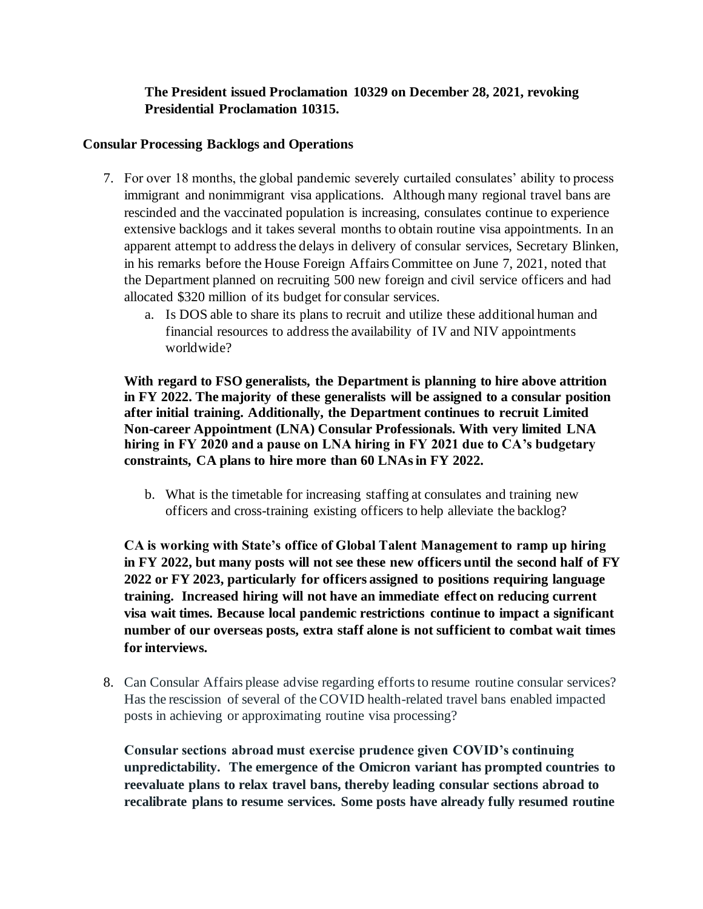# **The President issued Proclamation 10329 on December 28, 2021, revoking Presidential Proclamation 10315.**

## **Consular Processing Backlogs and Operations**

- 7. For over 18 months, the global pandemic severely curtailed consulates' ability to process immigrant and nonimmigrant visa applications. Although many regional travel bans are rescinded and the vaccinated population is increasing, consulates continue to experience extensive backlogs and it takes several months to obtain routine visa appointments. In an apparent attempt to address the delays in delivery of consular services, Secretary Blinken, in his remarks before the House Foreign Affairs Committee on June 7, 2021, noted that the Department planned on recruiting 500 new foreign and civil service officers and had allocated \$320 million of its budget for consular services.
	- a. Is DOS able to share its plans to recruit and utilize these additional human and financial resources to address the availability of IV and NIV appointments worldwide?

**With regard to FSO generalists, the Department is planning to hire above attrition in FY 2022. The majority of these generalists will be assigned to a consular position after initial training. Additionally, the Department continues to recruit Limited Non-career Appointment (LNA) Consular Professionals. With very limited LNA hiring in FY 2020 and a pause on LNA hiring in FY 2021 due to CA's budgetary constraints, CA plans to hire more than 60 LNAs in FY 2022.**

b. What is the timetable for increasing staffing at consulates and training new officers and cross-training existing officers to help alleviate the backlog?

**CA is working with State's office of Global Talent Management to ramp up hiring in FY 2022, but many posts will not see these new officers until the second half of FY 2022 or FY 2023, particularly for officers assigned to positions requiring language training. Increased hiring will not have an immediate effect on reducing current visa wait times. Because local pandemic restrictions continue to impact a significant number of our overseas posts, extra staff alone is not sufficient to combat wait times for interviews.** 

8. Can Consular Affairs please advise regarding efforts to resume routine consular services? Has the rescission of several of the COVID health-related travel bans enabled impacted posts in achieving or approximating routine visa processing?

**Consular sections abroad must exercise prudence given COVID's continuing unpredictability. The emergence of the Omicron variant has prompted countries to reevaluate plans to relax travel bans, thereby leading consular sections abroad to recalibrate plans to resume services. Some posts have already fully resumed routine**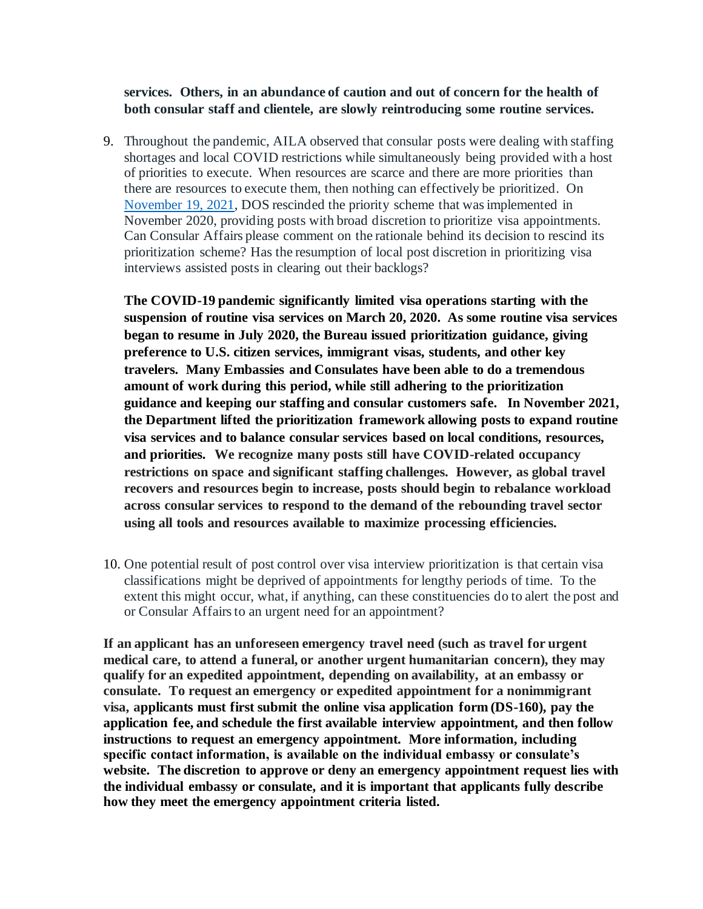**services. Others, in an abundance of caution and out of concern for the health of both consular staff and clientele, are slowly reintroducing some routine services.** 

9. Throughout the pandemic, AILA observed that consular posts were dealing with staffing shortages and local COVID restrictions while simultaneously being provided with a host of priorities to execute. When resources are scarce and there are more priorities than there are resources to execute them, then nothing can effectively be prioritized. On November 19, 2021, DOS rescinded the priority scheme that was implemented in November 2020, providing posts with broad discretion to prioritize visa appointments. Can Consular Affairs please comment on the rationale behind its decision to rescind its prioritization scheme? Has the resumption of local post discretion in prioritizing visa interviews assisted posts in clearing out their backlogs?

**The COVID-19 pandemic significantly limited visa operations starting with the suspension of routine visa services on March 20, 2020. As some routine visa services began to resume in July 2020, the Bureau issued prioritization guidance, giving preference to U.S. citizen services, immigrant visas, students, and other key travelers. Many Embassies and Consulates have been able to do a tremendous amount of work during this period, while still adhering to the prioritization guidance and keeping our staffing and consular customers safe. In November 2021, the Department lifted the prioritization framework allowing posts to expand routine visa services and to balance consular services based on local conditions, resources, and priorities. We recognize many posts still have COVID-related occupancy restrictions on space and significant staffing challenges. However, as global travel recovers and resources begin to increase, posts should begin to rebalance workload across consular services to respond to the demand of the rebounding travel sector using all tools and resources available to maximize processing efficiencies.**

10. One potential result of post control over visa interview prioritization is that certain visa classifications might be deprived of appointments for lengthy periods of time. To the extent this might occur, what, if anything, can these constituencies do to alert the post and or Consular Affairs to an urgent need for an appointment?

**If an applicant has an unforeseen emergency travel need (such as travel for urgent medical care, to attend a funeral, or another urgent humanitarian concern), they may qualify for an expedited appointment, depending on availability, at an embassy or consulate. To request an emergency or expedited appointment for a nonimmigrant visa, applicants must first submit the online visa application form (DS-160), pay the application fee, and schedule the first available interview appointment, and then follow instructions to request an emergency appointment. More information, including specific contact information, is available on the individual embassy or consulate's website. The discretion to approve or deny an emergency appointment request lies with the individual embassy or consulate, and it is important that applicants fully describe how they meet the emergency appointment criteria listed.**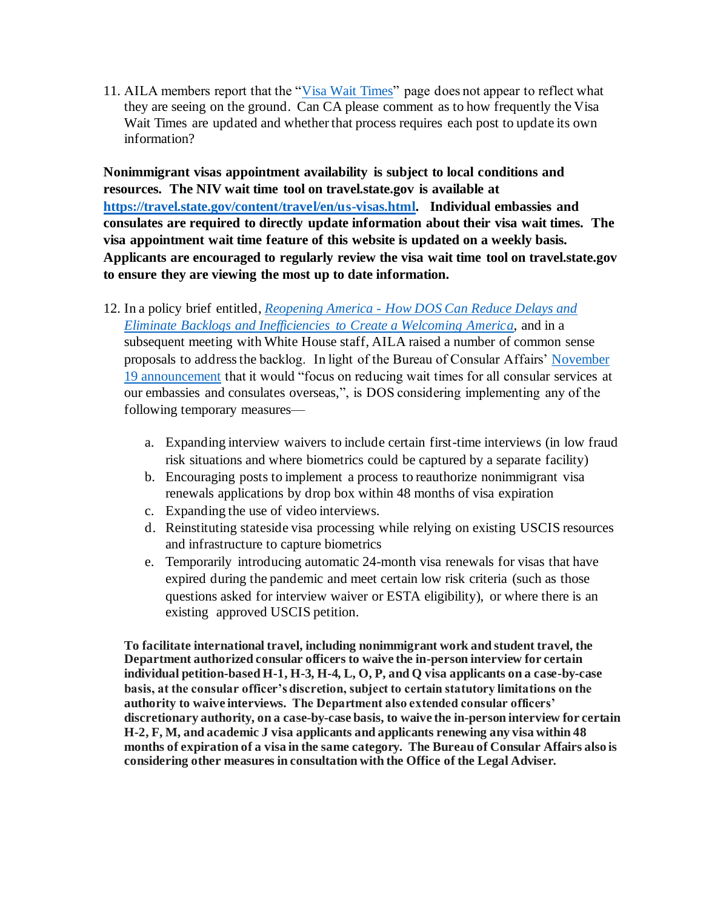11. AILA members report that the "Visa Wait Times" page does not appear to reflect what they are seeing on the ground. Can CA please comment as to how frequently the Visa Wait Times are updated and whether that process requires each post to update its own information?

**Nonimmigrant visas appointment availability is subject to local conditions and resources. The NIV wait time tool on travel.state.gov is available at https://travel.state.gov/content/travel/en/us-visas.html. Individual embassies and consulates are required to directly update information about their visa wait times. The visa appointment wait time feature of this website is updated on a weekly basis. Applicants are encouraged to regularly review the visa wait time tool on travel.state.gov to ensure they are viewing the most up to date information.** 

- 12. In a policy brief entitled, *Reopening America - How DOS Can Reduce Delays and Eliminate Backlogs and Inefficiencies to Create a Welcoming America*, and in a subsequent meeting with White House staff, AILA raised a number of common sense proposals to address the backlog. In light of the Bureau of Consular Affairs' November 19 announcement that it would "focus on reducing wait times for all consular services at our embassies and consulates overseas,", is DOS considering implementing any of the following temporary measures
	- a. Expanding interview waivers to include certain first-time interviews (in low fraud risk situations and where biometrics could be captured by a separate facility)
	- b. Encouraging posts to implement a process to reauthorize nonimmigrant visa renewals applications by drop box within 48 months of visa expiration
	- c. Expanding the use of video interviews.
	- d. Reinstituting stateside visa processing while relying on existing USCIS resources and infrastructure to capture biometrics
	- e. Temporarily introducing automatic 24-month visa renewals for visas that have expired during the pandemic and meet certain low risk criteria (such as those questions asked for interview waiver or ESTA eligibility), or where there is an existing approved USCIS petition.

**To facilitate international travel, including nonimmigrant work and student travel, the Department authorized consular officers to waive the in-person interview for certain individual petition-based H-1, H-3, H-4, L, O, P, and Q visa applicants on a case-by-case basis, at the consular officer's discretion, subject to certain statutory limitations on the authority to waive interviews. The Department also extended consular officers' discretionary authority, on a case-by-case basis, to waive the in-person interview for certain H-2, F, M, and academic J visa applicants and applicants renewing any visa within 48 months of expiration of a visa in the same category. The Bureau of Consular Affairs also is considering other measures in consultation with the Office of the Legal Adviser.**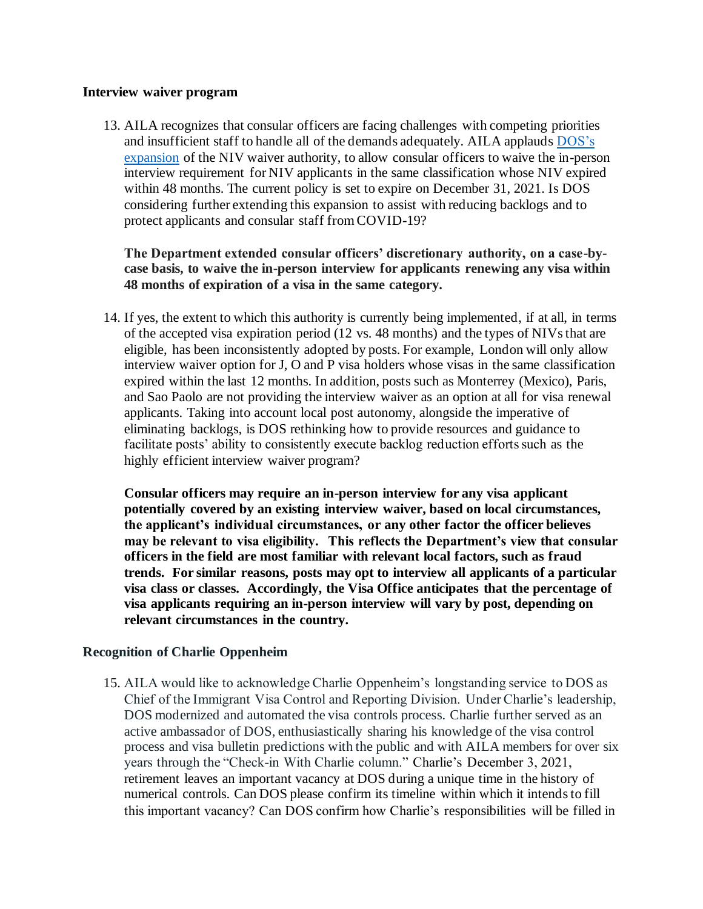#### **Interview waiver program**

13. AILA recognizes that consular officers are facing challenges with competing priorities and insufficient staff to handle all of the demands adequately. AILA applauds DOS's expansion of the NIV waiver authority, to allow consular officers to waive the in-person interview requirement for NIV applicants in the same classification whose NIV expired within 48 months. The current policy is set to expire on December 31, 2021. Is DOS considering further extending this expansion to assist with reducing backlogs and to protect applicants and consular staff from COVID-19?

**The Department extended consular officers' discretionary authority, on a case-bycase basis, to waive the in-person interview for applicants renewing any visa within 48 months of expiration of a visa in the same category.** 

14. If yes, the extent to which this authority is currently being implemented, if at all, in terms of the accepted visa expiration period (12 vs. 48 months) and the types of NIVs that are eligible, has been inconsistently adopted by posts. For example, London will only allow interview waiver option for J, O and P visa holders whose visas in the same classification expired within the last 12 months. In addition, posts such as Monterrey (Mexico), Paris, and Sao Paolo are not providing the interview waiver as an option at all for visa renewal applicants. Taking into account local post autonomy, alongside the imperative of eliminating backlogs, is DOS rethinking how to provide resources and guidance to facilitate posts' ability to consistently execute backlog reduction efforts such as the highly efficient interview waiver program?

**Consular officers may require an in-person interview for any visa applicant potentially covered by an existing interview waiver, based on local circumstances, the applicant's individual circumstances, or any other factor the officer believes may be relevant to visa eligibility. This reflects the Department's view that consular officers in the field are most familiar with relevant local factors, such as fraud trends. For similar reasons, posts may opt to interview all applicants of a particular visa class or classes. Accordingly, the Visa Office anticipates that the percentage of visa applicants requiring an in-person interview will vary by post, depending on relevant circumstances in the country.** 

#### **Recognition of Charlie Oppenheim**

15. AILA would like to acknowledge Charlie Oppenheim's longstanding service to DOS as Chief of the Immigrant Visa Control and Reporting Division. Under Charlie's leadership, DOS modernized and automated the visa controls process. Charlie further served as an active ambassador of DOS, enthusiastically sharing his knowledge of the visa control process and visa bulletin predictions with the public and with AILA members for over six years through the "Check-in With Charlie column." Charlie's December 3, 2021, retirement leaves an important vacancy at DOS during a unique time in the history of numerical controls. Can DOS please confirm its timeline within which it intends to fill this important vacancy? Can DOS confirm how Charlie's responsibilities will be filled in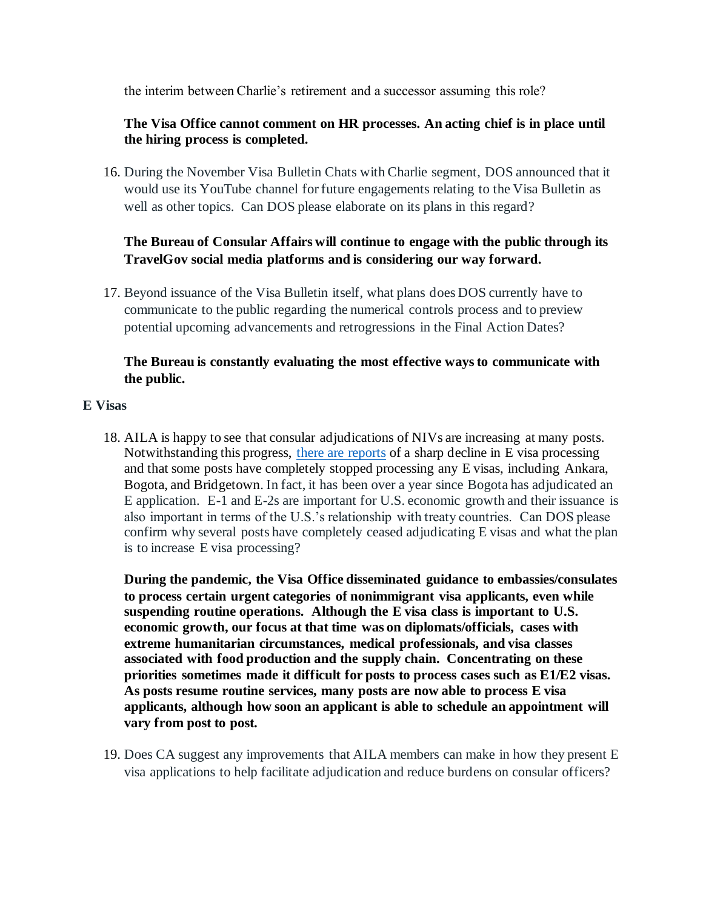the interim between Charlie's retirement and a successor assuming this role?

## **The Visa Office cannot comment on HR processes. An acting chief is in place until the hiring process is completed.**

16. During the November Visa Bulletin Chats with Charlie segment, DOS announced that it would use its YouTube channel for future engagements relating to the Visa Bulletin as well as other topics. Can DOS please elaborate on its plans in this regard?

# **The Bureau of Consular Affairs will continue to engage with the public through its TravelGov social media platforms and is considering our way forward.**

17. Beyond issuance of the Visa Bulletin itself, what plans does DOS currently have to communicate to the public regarding the numerical controls process and to preview potential upcoming advancements and retrogressions in the Final Action Dates?

# **The Bureau is constantly evaluating the most effective ways to communicate with the public.**

#### **E Visas**

18. AILA is happy to see that consular adjudications of NIVs are increasing at many posts. Notwithstanding this progress, there are reports of a sharp decline in E visa processing and that some posts have completely stopped processing any E visas, including Ankara, Bogota, and Bridgetown. In fact, it has been over a year since Bogota has adjudicated an E application. E-1 and E-2s are important for U.S. economic growth and their issuance is also important in terms of the U.S.'s relationship with treaty countries. Can DOS please confirm why several posts have completely ceased adjudicating E visas and what the plan is to increase E visa processing?

**During the pandemic, the Visa Office disseminated guidance to embassies/consulates to process certain urgent categories of nonimmigrant visa applicants, even while suspending routine operations. Although the E visa class is important to U.S. economic growth, our focus at that time was on diplomats/officials, cases with extreme humanitarian circumstances, medical professionals, and visa classes associated with food production and the supply chain. Concentrating on these priorities sometimes made it difficult for posts to process cases such as E1/E2 visas. As posts resume routine services, many posts are now able to process E visa applicants, although how soon an applicant is able to schedule an appointment will vary from post to post.** 

19. Does CA suggest any improvements that AILA members can make in how they present E visa applications to help facilitate adjudication and reduce burdens on consular officers?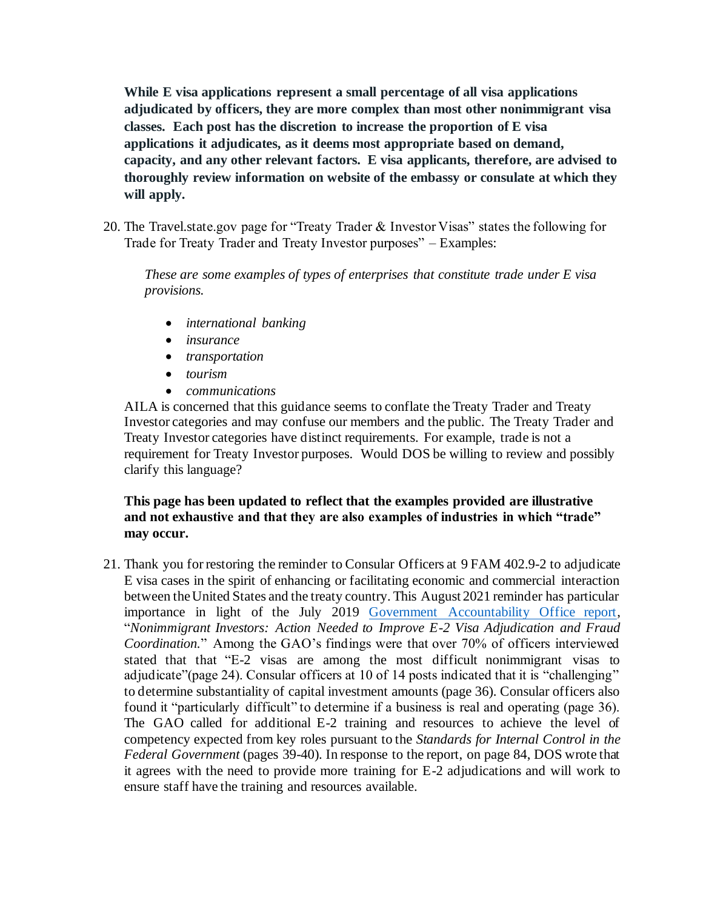**While E visa applications represent a small percentage of all visa applications adjudicated by officers, they are more complex than most other nonimmigrant visa classes. Each post has the discretion to increase the proportion of E visa applications it adjudicates, as it deems most appropriate based on demand, capacity, and any other relevant factors. E visa applicants, therefore, are advised to thoroughly review information on website of the embassy or consulate at which they will apply.** 

20. The Travel.state.gov page for "Treaty Trader & Investor Visas" states the following for Trade for Treaty Trader and Treaty Investor purposes" – Examples:

*These are some examples of types of enterprises that constitute trade under E visa provisions.*

- *international banking*
- *insurance*
- *transportation*
- *tourism*
- *communications*

AILA is concerned that this guidance seems to conflate the Treaty Trader and Treaty Investor categories and may confuse our members and the public. The Treaty Trader and Treaty Investor categories have distinct requirements. For example, trade is not a requirement for Treaty Investor purposes. Would DOS be willing to review and possibly clarify this language?

## **This page has been updated to reflect that the examples provided are illustrative and not exhaustive and that they are also examples of industries in which "trade" may occur.**

21. Thank you for restoring the reminder to Consular Officers at 9 FAM 402.9-2 to adjudicate E visa cases in the spirit of enhancing or facilitating economic and commercial interaction between the United States and the treaty country. This August 2021 reminder has particular importance in light of the July 2019 Government Accountability Office report, "*Nonimmigrant Investors: Action Needed to Improve E-2 Visa Adjudication and Fraud Coordination.*" Among the GAO's findings were that over 70% of officers interviewed stated that that "E-2 visas are among the most difficult nonimmigrant visas to adjudicate"(page 24). Consular officers at 10 of 14 posts indicated that it is "challenging" to determine substantiality of capital investment amounts (page 36). Consular officers also found it "particularly difficult" to determine if a business is real and operating (page 36). The GAO called for additional E-2 training and resources to achieve the level of competency expected from key roles pursuant to the *Standards for Internal Control in the Federal Government* (pages 39-40). In response to the report, on page 84, DOS wrote that it agrees with the need to provide more training for E-2 adjudications and will work to ensure staff have the training and resources available.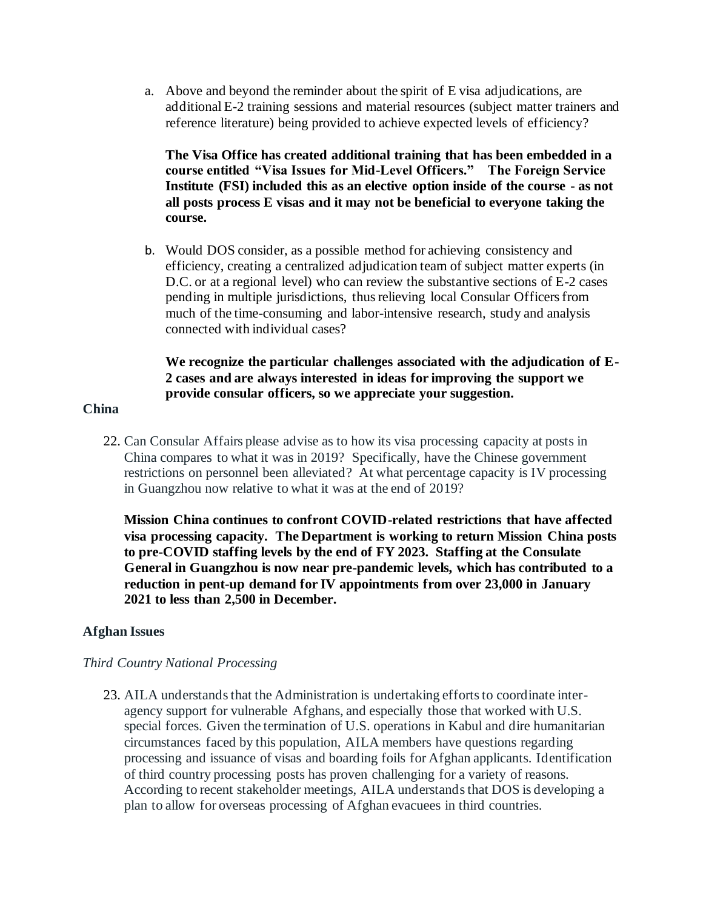a. Above and beyond the reminder about the spirit of E visa adjudications, are additional E-2 training sessions and material resources (subject matter trainers and reference literature) being provided to achieve expected levels of efficiency?

**The Visa Office has created additional training that has been embedded in a course entitled "Visa Issues for Mid-Level Officers." The Foreign Service Institute (FSI) included this as an elective option inside of the course - as not all posts process E visas and it may not be beneficial to everyone taking the course.** 

b. Would DOS consider, as a possible method for achieving consistency and efficiency, creating a centralized adjudication team of subject matter experts (in D.C. or at a regional level) who can review the substantive sections of E-2 cases pending in multiple jurisdictions, thus relieving local Consular Officers from much of the time-consuming and labor-intensive research, study and analysis connected with individual cases?

## **We recognize the particular challenges associated with the adjudication of E-2 cases and are always interested in ideas for improving the support we provide consular officers, so we appreciate your suggestion.**

#### **China**

22. Can Consular Affairs please advise as to how its visa processing capacity at posts in China compares to what it was in 2019? Specifically, have the Chinese government restrictions on personnel been alleviated? At what percentage capacity is IV processing in Guangzhou now relative to what it was at the end of 2019?

**Mission China continues to confront COVID-related restrictions that have affected visa processing capacity. The Department is working to return Mission China posts to pre-COVID staffing levels by the end of FY 2023. Staffing at the Consulate General in Guangzhou is now near pre-pandemic levels, which has contributed to a reduction in pent-up demand for IV appointments from over 23,000 in January 2021 to less than 2,500 in December.** 

#### **Afghan Issues**

#### *Third Country National Processing*

23. AILA understands that the Administration is undertaking efforts to coordinate interagency support for vulnerable Afghans, and especially those that worked with U.S. special forces. Given the termination of U.S. operations in Kabul and dire humanitarian circumstances faced by this population, AILA members have questions regarding processing and issuance of visas and boarding foils for Afghan applicants. Identification of third country processing posts has proven challenging for a variety of reasons. According to recent stakeholder meetings, AILA understands that DOS is developing a plan to allow for overseas processing of Afghan evacuees in third countries.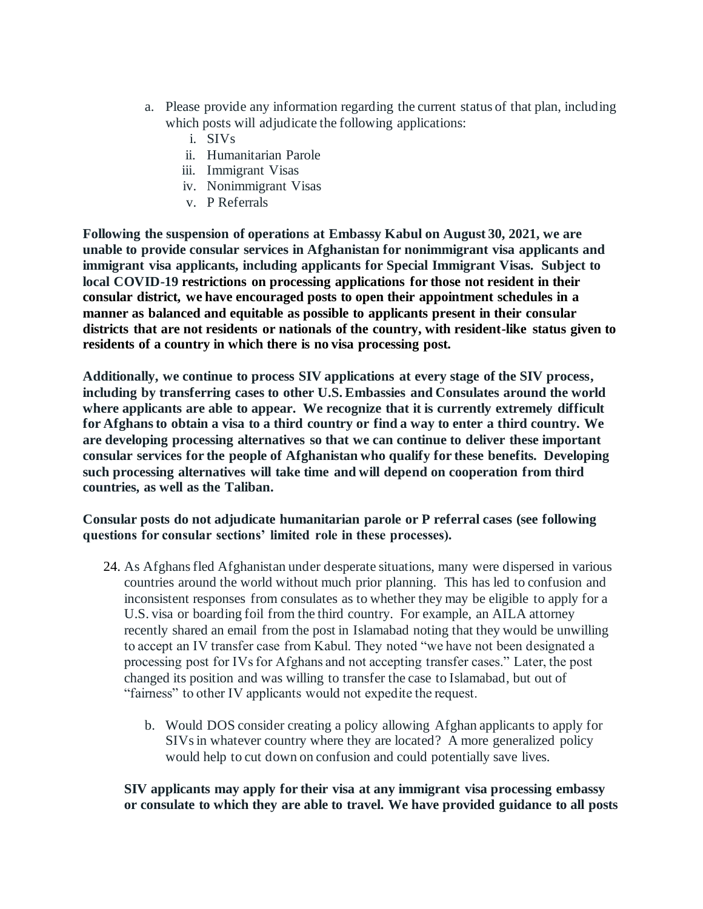- a. Please provide any information regarding the current status of that plan, including which posts will adjudicate the following applications:
	- i. SIVs
	- ii. Humanitarian Parole
	- iii. Immigrant Visas
	- iv. Nonimmigrant Visas
	- v. P Referrals

**Following the suspension of operations at Embassy Kabul on August 30, 2021, we are unable to provide consular services in Afghanistan for nonimmigrant visa applicants and immigrant visa applicants, including applicants for Special Immigrant Visas. Subject to local COVID-19 restrictions on processing applications for those not resident in their consular district, we have encouraged posts to open their appointment schedules in a manner as balanced and equitable as possible to applicants present in their consular districts that are not residents or nationals of the country, with resident-like status given to residents of a country in which there is no visa processing post.**

**Additionally, we continue to process SIV applications at every stage of the SIV process, including by transferring cases to other U.S. Embassies and Consulates around the world where applicants are able to appear. We recognize that it is currently extremely difficult for Afghans to obtain a visa to a third country or find a way to enter a third country. We are developing processing alternatives so that we can continue to deliver these important consular services for the people of Afghanistan who qualify for these benefits. Developing such processing alternatives will take time and will depend on cooperation from third countries, as well as the Taliban.** 

**Consular posts do not adjudicate humanitarian parole or P referral cases (see following questions for consular sections' limited role in these processes).** 

- 24. As Afghans fled Afghanistan under desperate situations, many were dispersed in various countries around the world without much prior planning. This has led to confusion and inconsistent responses from consulates as to whether they may be eligible to apply for a U.S. visa or boarding foil from the third country. For example, an AILA attorney recently shared an email from the post in Islamabad noting that they would be unwilling to accept an IV transfer case from Kabul. They noted "we have not been designated a processing post for IVs for Afghans and not accepting transfer cases." Later, the post changed its position and was willing to transfer the case to Islamabad, but out of "fairness" to other IV applicants would not expedite the request.
	- b. Would DOS consider creating a policy allowing Afghan applicants to apply for SIVs in whatever country where they are located? A more generalized policy would help to cut down on confusion and could potentially save lives.

**SIV applicants may apply for their visa at any immigrant visa processing embassy or consulate to which they are able to travel. We have provided guidance to all posts**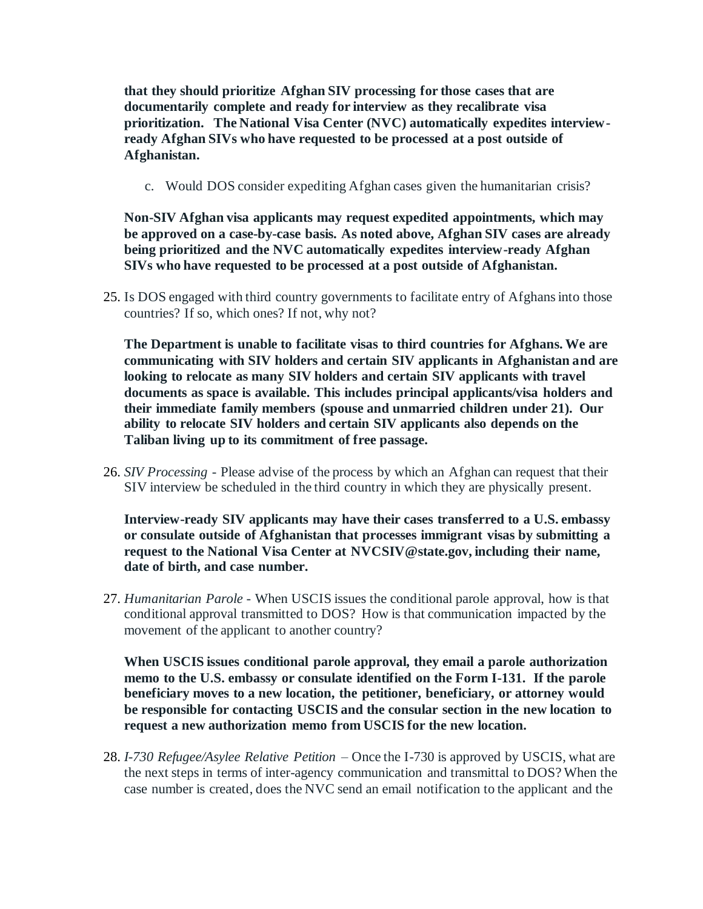**that they should prioritize Afghan SIV processing for those cases that are documentarily complete and ready for interview as they recalibrate visa prioritization. The National Visa Center (NVC) automatically expedites interviewready Afghan SIVs who have requested to be processed at a post outside of Afghanistan.** 

c. Would DOS consider expediting Afghan cases given the humanitarian crisis?

**Non-SIV Afghan visa applicants may request expedited appointments, which may be approved on a case-by-case basis. As noted above, Afghan SIV cases are already being prioritized and the NVC automatically expedites interview-ready Afghan SIVs who have requested to be processed at a post outside of Afghanistan.**

25. Is DOS engaged with third country governments to facilitate entry of Afghans into those countries? If so, which ones? If not, why not?

**The Department is unable to facilitate visas to third countries for Afghans. We are communicating with SIV holders and certain SIV applicants in Afghanistan and are looking to relocate as many SIV holders and certain SIV applicants with travel documents as space is available. This includes principal applicants/visa holders and their immediate family members (spouse and unmarried children under 21). Our ability to relocate SIV holders and certain SIV applicants also depends on the Taliban living up to its commitment of free passage.**

26. *SIV Processing* - Please advise of the process by which an Afghan can request that their SIV interview be scheduled in the third country in which they are physically present.

**Interview-ready SIV applicants may have their cases transferred to a U.S. embassy or consulate outside of Afghanistan that processes immigrant visas by submitting a request to the National Visa Center at NVCSIV@state.gov, including their name, date of birth, and case number.**

27. *Humanitarian Parole -* When USCIS issues the conditional parole approval, how is that conditional approval transmitted to DOS? How is that communication impacted by the movement of the applicant to another country?

**When USCIS issues conditional parole approval, they email a parole authorization memo to the U.S. embassy or consulate identified on the Form I-131. If the parole beneficiary moves to a new location, the petitioner, beneficiary, or attorney would be responsible for contacting USCIS and the consular section in the new location to request a new authorization memo from USCIS for the new location.**

28. *I-730 Refugee/Asylee Relative Petition –* Once the I-730 is approved by USCIS, what are the next steps in terms of inter-agency communication and transmittal to DOS? When the case number is created, does the NVC send an email notification to the applicant and the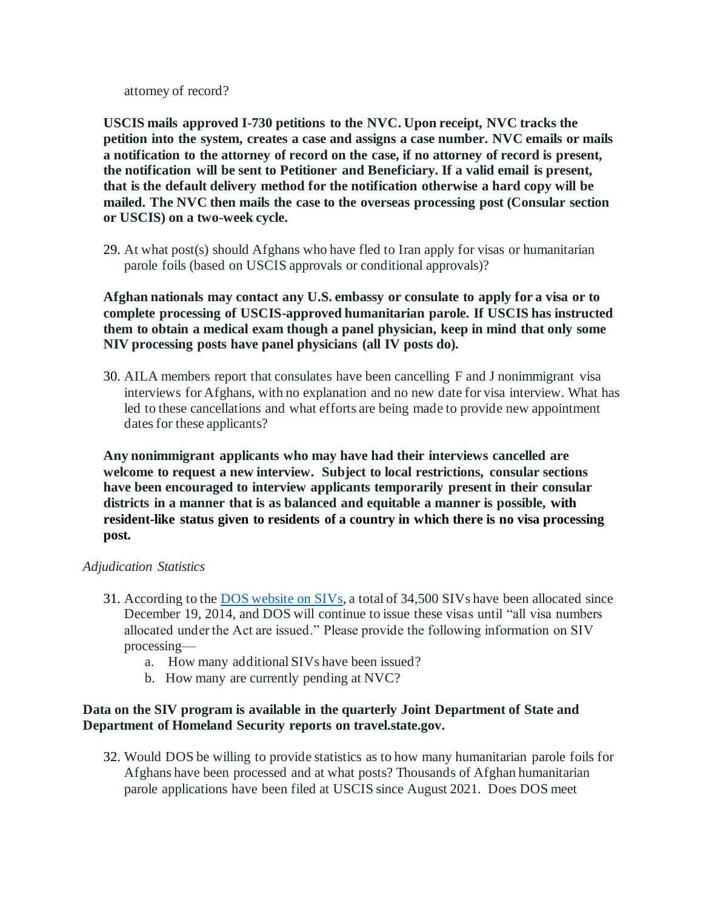attorney of record?

**USCIS mails approved I-730 petitions to the NVC. Upon receipt, NVC tracks the petition into the system, creates a case and assigns a case number. NVC emails or mails a notification to the attorney of record on the case, if no attorney of record is present, the notification will be sent to Petitioner and Beneficiary. If a valid email is present, that is the default delivery method for the notification otherwise a hard copy will be mailed. The NVC then mails the case to the overseas processing post (Consular section or USCIS) on a two-week cycle.**

29. At what post(s) should Afghans who have fled to Iran apply for visas or humanitarian parole foils (based on USCIS approvals or conditional approvals)?

**Afghan nationals may contact any U.S. embassy or consulate to apply for a visa or to complete processing of USCIS-approved humanitarian parole. If USCIS has instructed them to obtain a medical exam though a panel physician, keep in mind that only some NIV processing posts have panel physicians (all IV posts do).** 

30. AILA members report that consulates have been cancelling F and J nonimmigrant visa interviews for Afghans, with no explanation and no new date for visa interview. What has led to these cancellations and what efforts are being made to provide new appointment dates for these applicants?

**Any nonimmigrant applicants who may have had their interviews cancelled are welcome to request a new interview. Subject to local restrictions, consular sections have been encouraged to interview applicants temporarily present in their consular districts in a manner that is as balanced and equitable a manner is possible, with resident-like status given to residents of a country in which there is no visa processing post.**

#### *Adjudication Statistics*

- 31. According to the DOS website on SIVs, a total of 34,500 SIVs have been allocated since December 19, 2014, and DOS will continue to issue these visas until "all visa numbers allocated under the Act are issued." Please provide the following information on SIV processing
	- a. How many additional SIVs have been issued?
	- b. How many are currently pending at NVC?

## **Data on the SIV program is available in the quarterly Joint Department of State and Department of Homeland Security reports on travel.state.gov.**

32. Would DOS be willing to provide statistics as to how many humanitarian parole foils for Afghans have been processed and at what posts? Thousands of Afghan humanitarian parole applications have been filed at USCIS since August 2021. Does DOS meet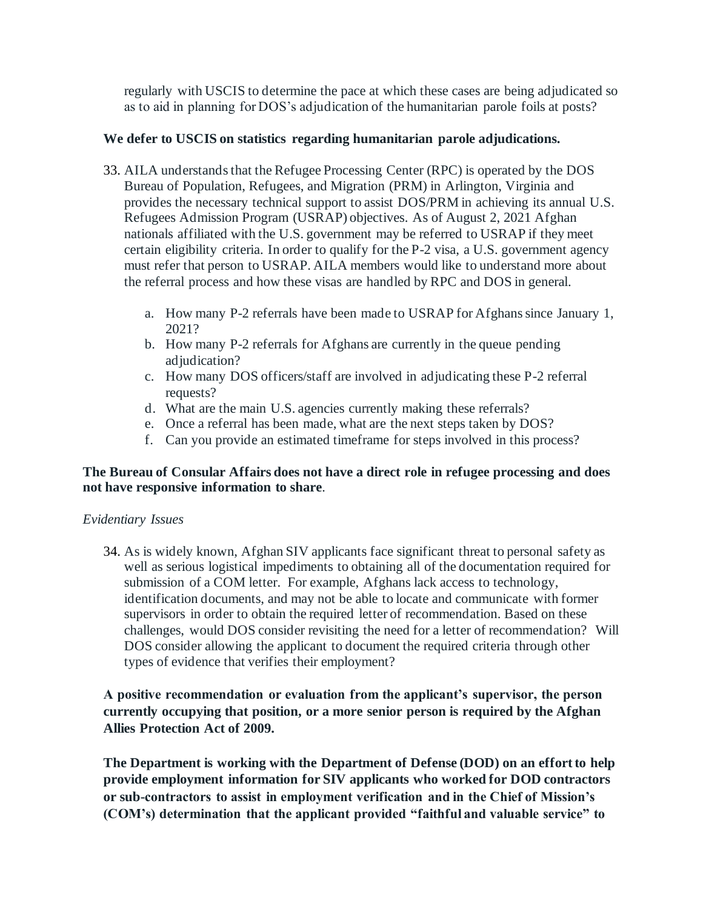regularly with USCIS to determine the pace at which these cases are being adjudicated so as to aid in planning for DOS's adjudication of the humanitarian parole foils at posts?

## **We defer to USCIS on statistics regarding humanitarian parole adjudications.**

- 33. AILA understands that the Refugee Processing Center (RPC) is operated by the DOS Bureau of Population, Refugees, and Migration (PRM) in Arlington, Virginia and provides the necessary technical support to assist DOS/PRM in achieving its annual U.S. Refugees Admission Program (USRAP) objectives. As of August 2, 2021 Afghan nationals affiliated with the U.S. government may be referred to USRAP if they meet certain eligibility criteria. In order to qualify for the P-2 visa, a U.S. government agency must refer that person to USRAP. AILA members would like to understand more about the referral process and how these visas are handled by RPC and DOS in general.
	- a. How many P-2 referrals have been made to USRAP for Afghans since January 1, 2021?
	- b. How many P-2 referrals for Afghans are currently in the queue pending adjudication?
	- c. How many DOS officers/staff are involved in adjudicating these P-2 referral requests?
	- d. What are the main U.S. agencies currently making these referrals?
	- e. Once a referral has been made, what are the next steps taken by DOS?
	- f. Can you provide an estimated timeframe for steps involved in this process?

## **The Bureau of Consular Affairs does not have a direct role in refugee processing and does not have responsive information to share***.*

#### *Evidentiary Issues*

34. As is widely known, Afghan SIV applicants face significant threat to personal safety as well as serious logistical impediments to obtaining all of the documentation required for submission of a COM letter. For example, Afghans lack access to technology, identification documents, and may not be able to locate and communicate with former supervisors in order to obtain the required letter of recommendation. Based on these challenges, would DOS consider revisiting the need for a letter of recommendation? Will DOS consider allowing the applicant to document the required criteria through other types of evidence that verifies their employment?

**A positive recommendation or evaluation from the applicant's supervisor, the person currently occupying that position, or a more senior person is required by the Afghan Allies Protection Act of 2009.** 

**The Department is working with the Department of Defense (DOD) on an effort to help provide employment information for SIV applicants who worked for DOD contractors or sub-contractors to assist in employment verification and in the Chief of Mission's (COM's) determination that the applicant provided "faithful and valuable service" to**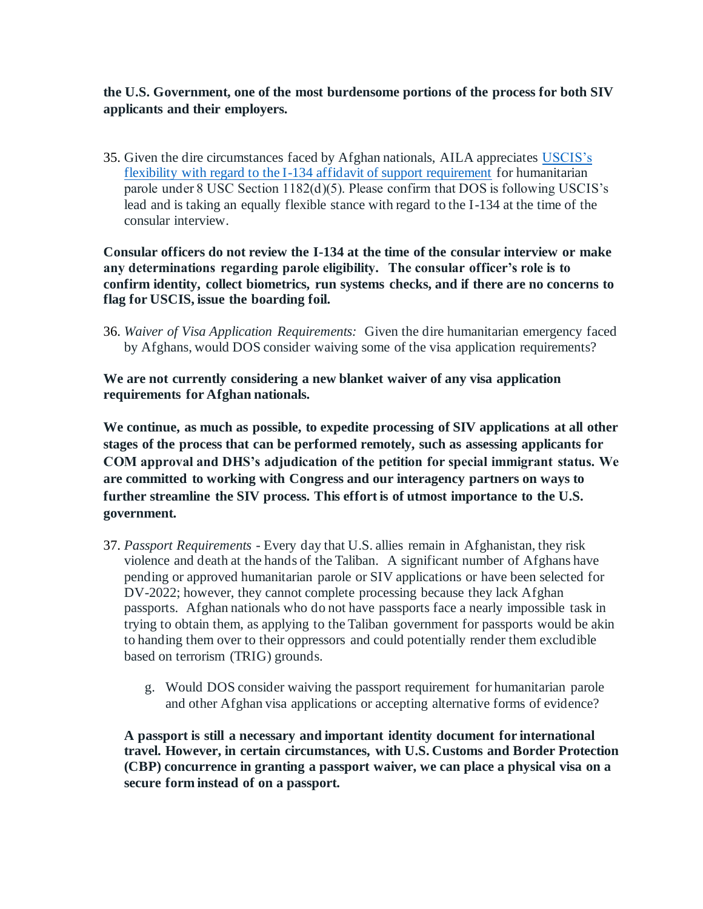# **the U.S. Government, one of the most burdensome portions of the process for both SIV applicants and their employers.**

35. Given the dire circumstances faced by Afghan nationals, AILA appreciates USCIS's flexibility with regard to the I-134 affidavit of support requirement for humanitarian parole under 8 USC Section 1182(d)(5). Please confirm that DOS is following USCIS's lead and is taking an equally flexible stance with regard to the I-134 at the time of the consular interview.

**Consular officers do not review the I-134 at the time of the consular interview or make any determinations regarding parole eligibility. The consular officer's role is to confirm identity, collect biometrics, run systems checks, and if there are no concerns to flag for USCIS, issue the boarding foil.**

36. *Waiver of Visa Application Requirements:* Given the dire humanitarian emergency faced by Afghans, would DOS consider waiving some of the visa application requirements?

**We are not currently considering a new blanket waiver of any visa application requirements for Afghan nationals.**

**We continue, as much as possible, to expedite processing of SIV applications at all other stages of the process that can be performed remotely, such as assessing applicants for COM approval and DHS's adjudication of the petition for special immigrant status. We are committed to working with Congress and our interagency partners on ways to further streamline the SIV process. This effort is of utmost importance to the U.S. government.** 

- 37. *Passport Requirements -* Every day that U.S. allies remain in Afghanistan, they risk violence and death at the hands of the Taliban. A significant number of Afghans have pending or approved humanitarian parole or SIV applications or have been selected for DV-2022; however, they cannot complete processing because they lack Afghan passports. Afghan nationals who do not have passports face a nearly impossible task in trying to obtain them, as applying to the Taliban government for passports would be akin to handing them over to their oppressors and could potentially render them excludible based on terrorism (TRIG) grounds.
	- g. Would DOS consider waiving the passport requirement for humanitarian parole and other Afghan visa applications or accepting alternative forms of evidence?

**A passport is still a necessary and important identity document for international travel. However, in certain circumstances, with U.S. Customs and Border Protection (CBP) concurrence in granting a passport waiver, we can place a physical visa on a secure form instead of on a passport.**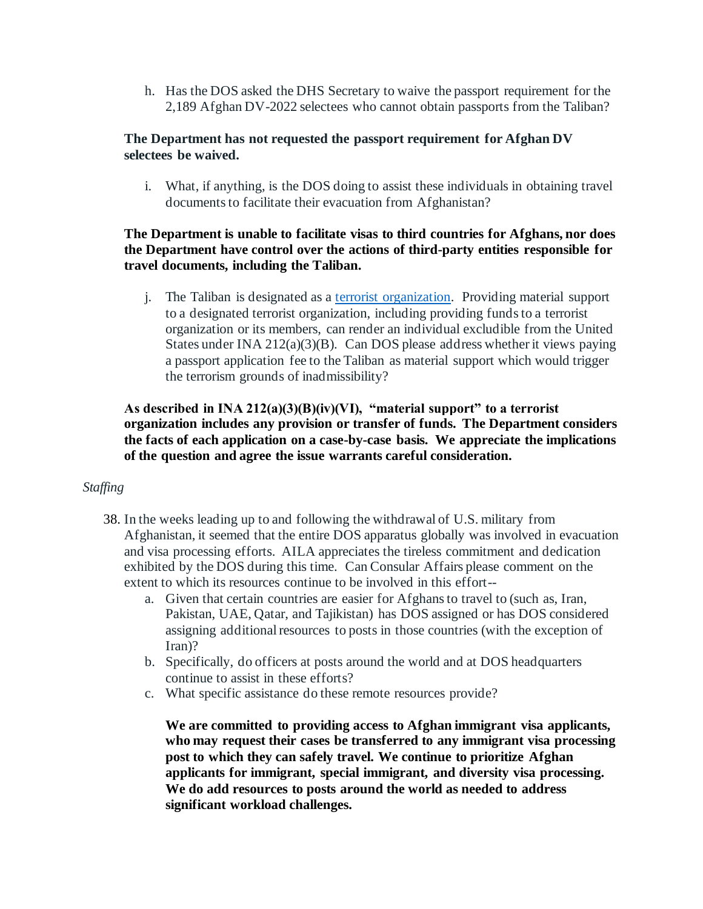h. Has the DOS asked the DHS Secretary to waive the passport requirement for the 2,189 Afghan DV-2022 selectees who cannot obtain passports from the Taliban?

## **The Department has not requested the passport requirement for Afghan DV selectees be waived.**

i. What, if anything, is the DOS doing to assist these individuals in obtaining travel documents to facilitate their evacuation from Afghanistan?

## **The Department is unable to facilitate visas to third countries for Afghans, nor does the Department have control over the actions of third-party entities responsible for travel documents, including the Taliban.**

j. The Taliban is designated as a terrorist organization. Providing material support to a designated terrorist organization, including providing funds to a terrorist organization or its members, can render an individual excludible from the United States under INA 212(a)(3)(B). Can DOS please address whether it views paying a passport application fee to the Taliban as material support which would trigger the terrorism grounds of inadmissibility?

## **As described in INA 212(a)(3)(B)(iv)(VI), "material support" to a terrorist organization includes any provision or transfer of funds. The Department considers the facts of each application on a case-by-case basis. We appreciate the implications of the question and agree the issue warrants careful consideration.**

#### *Staffing*

- 38. In the weeks leading up to and following the withdrawal of U.S. military from Afghanistan, it seemed that the entire DOS apparatus globally was involved in evacuation and visa processing efforts. AILA appreciates the tireless commitment and dedication exhibited by the DOS during this time. Can Consular Affairs please comment on the extent to which its resources continue to be involved in this effort-
	- a. Given that certain countries are easier for Afghans to travel to (such as, Iran, Pakistan, UAE, Qatar, and Tajikistan) has DOS assigned or has DOS considered assigning additional resources to posts in those countries (with the exception of Iran)?
	- b. Specifically, do officers at posts around the world and at DOS headquarters continue to assist in these efforts?
	- c. What specific assistance do these remote resources provide?

**We are committed to providing access to Afghan immigrant visa applicants, who may request their cases be transferred to any immigrant visa processing post to which they can safely travel. We continue to prioritize Afghan applicants for immigrant, special immigrant, and diversity visa processing. We do add resources to posts around the world as needed to address significant workload challenges.**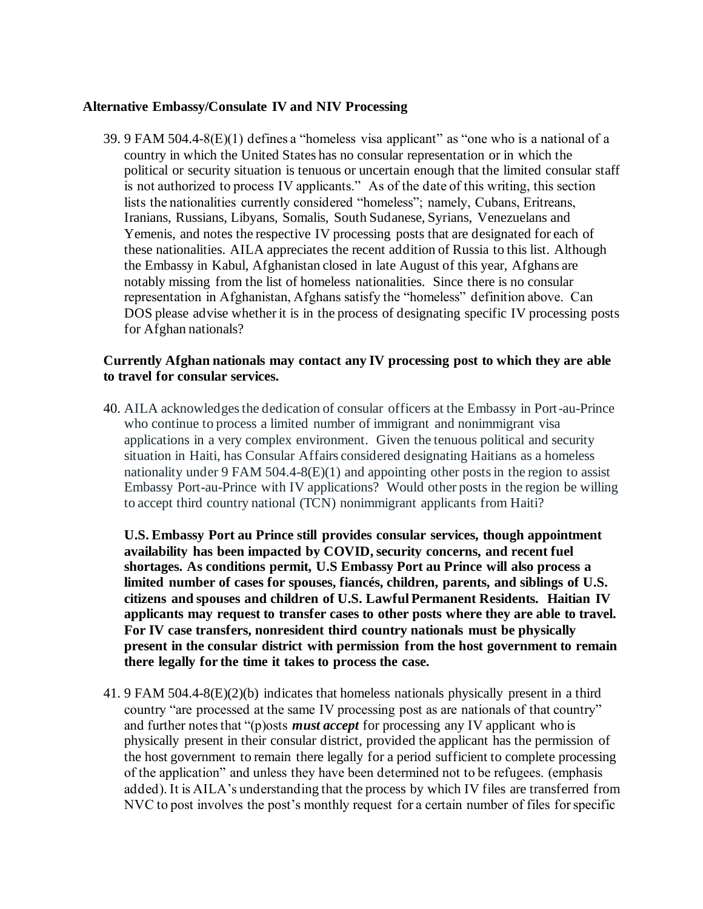#### **Alternative Embassy/Consulate IV and NIV Processing**

39. 9 FAM 504.4-8(E)(1) defines a "homeless visa applicant" as "one who is a national of a country in which the United States has no consular representation or in which the political or security situation is tenuous or uncertain enough that the limited consular staff is not authorized to process IV applicants." As of the date of this writing, this section lists the nationalities currently considered "homeless"; namely, Cubans, Eritreans, Iranians, Russians, Libyans, Somalis, South Sudanese, Syrians, Venezuelans and Yemenis, and notes the respective IV processing posts that are designated for each of these nationalities. AILA appreciates the recent addition of Russia to this list. Although the Embassy in Kabul, Afghanistan closed in late August of this year, Afghans are notably missing from the list of homeless nationalities. Since there is no consular representation in Afghanistan, Afghans satisfy the "homeless" definition above. Can DOS please advise whether it is in the process of designating specific IV processing posts for Afghan nationals?

#### **Currently Afghan nationals may contact any IV processing post to which they are able to travel for consular services.**

40. AILA acknowledges the dedication of consular officers at the Embassy in Port-au-Prince who continue to process a limited number of immigrant and nonimmigrant visa applications in a very complex environment. Given the tenuous political and security situation in Haiti, has Consular Affairs considered designating Haitians as a homeless nationality under 9 FAM  $504.4-8(E)(1)$  and appointing other posts in the region to assist Embassy Port-au-Prince with IV applications? Would other posts in the region be willing to accept third country national (TCN) nonimmigrant applicants from Haiti?

**U.S. Embassy Port au Prince still provides consular services, though appointment availability has been impacted by COVID, security concerns, and recent fuel shortages. As conditions permit, U.S Embassy Port au Prince will also process a limited number of cases for spouses, fiancés, children, parents, and siblings of U.S. citizens and spouses and children of U.S. Lawful Permanent Residents. Haitian IV applicants may request to transfer cases to other posts where they are able to travel. For IV case transfers, nonresident third country nationals must be physically present in the consular district with permission from the host government to remain there legally for the time it takes to process the case.**

41. 9 FAM 504.4-8(E)(2)(b) indicates that homeless nationals physically present in a third country "are processed at the same IV processing post as are nationals of that country" and further notes that "(p)osts *must accept* for processing any IV applicant who is physically present in their consular district, provided the applicant has the permission of the host government to remain there legally for a period sufficient to complete processing of the application" and unless they have been determined not to be refugees. (emphasis added). It is AILA's understanding that the process by which IV files are transferred from NVC to post involves the post's monthly request for a certain number of files for specific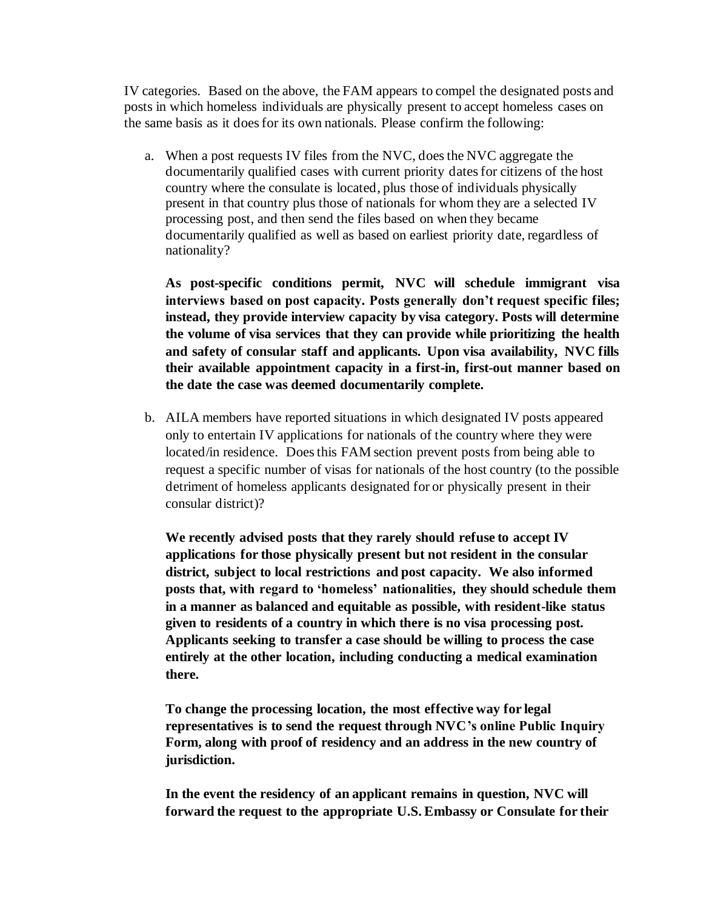IV categories. Based on the above, the FAM appears to compel the designated posts and posts in which homeless individuals are physically present to accept homeless cases on the same basis as it does for its own nationals. Please confirm the following:

a. When a post requests IV files from the NVC, does the NVC aggregate the documentarily qualified cases with current priority dates for citizens of the host country where the consulate is located, plus those of individuals physically present in that country plus those of nationals for whom they are a selected IV processing post, and then send the files based on when they became documentarily qualified as well as based on earliest priority date, regardless of nationality?

**As post-specific conditions permit, NVC will schedule immigrant visa interviews based on post capacity. Posts generally don't request specific files; instead, they provide interview capacity by visa category. Posts will determine the volume of visa services that they can provide while prioritizing the health and safety of consular staff and applicants. Upon visa availability, NVC fills their available appointment capacity in a first-in, first-out manner based on the date the case was deemed documentarily complete.**

b. AILA members have reported situations in which designated IV posts appeared only to entertain IV applications for nationals of the country where they were located/in residence. Does this FAM section prevent posts from being able to request a specific number of visas for nationals of the host country (to the possible detriment of homeless applicants designated for or physically present in their consular district)?

**We recently advised posts that they rarely should refuse to accept IV applications for those physically present but not resident in the consular district, subject to local restrictions and post capacity. We also informed posts that, with regard to 'homeless' nationalities, they should schedule them in a manner as balanced and equitable as possible, with resident-like status given to residents of a country in which there is no visa processing post. Applicants seeking to transfer a case should be willing to process the case entirely at the other location, including conducting a medical examination there.** 

**To change the processing location, the most effective way for legal representatives is to send the request through NVC's online Public Inquiry Form, along with proof of residency and an address in the new country of jurisdiction.**

**In the event the residency of an applicant remains in question, NVC will forward the request to the appropriate U.S. Embassy or Consulate for their**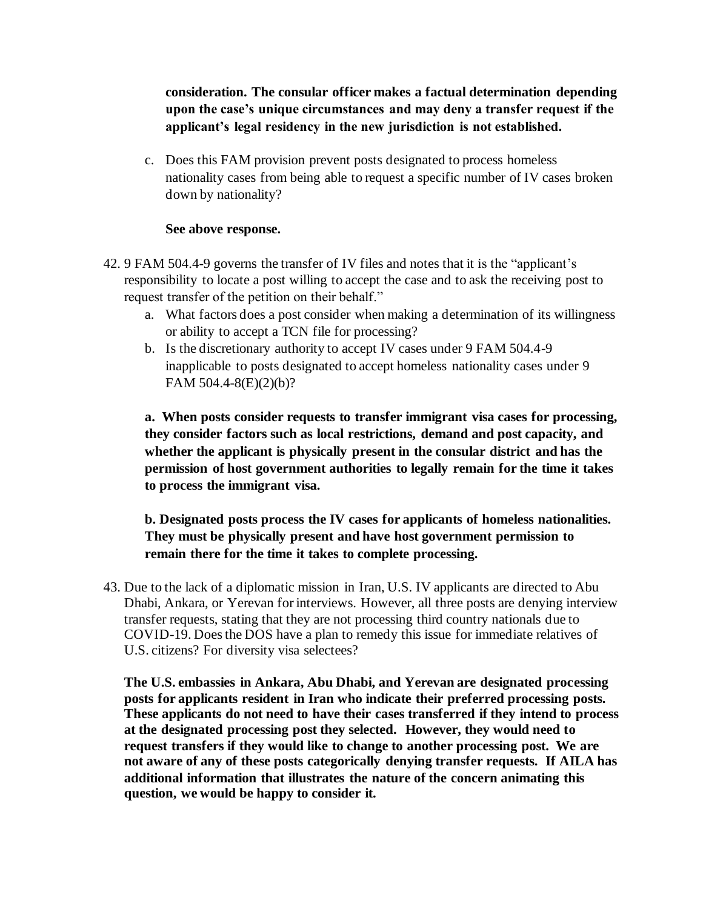**consideration. The consular officer makes a factual determination depending upon the case's unique circumstances and may deny a transfer request if the applicant's legal residency in the new jurisdiction is not established.**

c. Does this FAM provision prevent posts designated to process homeless nationality cases from being able to request a specific number of IV cases broken down by nationality?

#### **See above response.**

- 42. 9 FAM 504.4-9 governs the transfer of IV files and notes that it is the "applicant's responsibility to locate a post willing to accept the case and to ask the receiving post to request transfer of the petition on their behalf."
	- a. What factors does a post consider when making a determination of its willingness or ability to accept a TCN file for processing?
	- b. Is the discretionary authority to accept IV cases under 9 FAM 504.4-9 inapplicable to posts designated to accept homeless nationality cases under 9 FAM 504.4-8(E)(2)(b)?

**a. When posts consider requests to transfer immigrant visa cases for processing, they consider factors such as local restrictions, demand and post capacity, and whether the applicant is physically present in the consular district and has the permission of host government authorities to legally remain for the time it takes to process the immigrant visa.**

**b. Designated posts process the IV cases for applicants of homeless nationalities. They must be physically present and have host government permission to remain there for the time it takes to complete processing.**

43. Due to the lack of a diplomatic mission in Iran, U.S. IV applicants are directed to Abu Dhabi, Ankara, or Yerevan for interviews. However, all three posts are denying interview transfer requests, stating that they are not processing third country nationals due to COVID-19. Does the DOS have a plan to remedy this issue for immediate relatives of U.S. citizens? For diversity visa selectees?

**The U.S. embassies in Ankara, Abu Dhabi, and Yerevan are designated processing posts for applicants resident in Iran who indicate their preferred processing posts. These applicants do not need to have their cases transferred if they intend to process at the designated processing post they selected. However, they would need to request transfers if they would like to change to another processing post. We are not aware of any of these posts categorically denying transfer requests. If AILA has additional information that illustrates the nature of the concern animating this question, we would be happy to consider it.**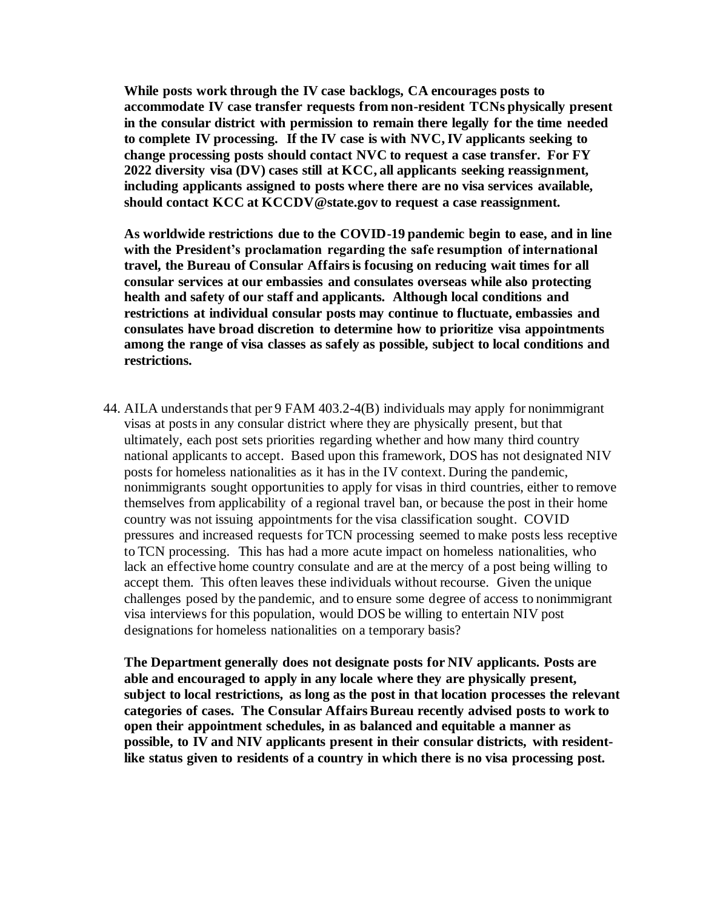**While posts work through the IV case backlogs, CA encourages posts to accommodate IV case transfer requests from non-resident TCNs physically present in the consular district with permission to remain there legally for the time needed to complete IV processing. If the IV case is with NVC, IV applicants seeking to change processing posts should contact NVC to request a case transfer. For FY 2022 diversity visa (DV) cases still at KCC, all applicants seeking reassignment, including applicants assigned to posts where there are no visa services available, should contact KCC at KCCDV@state.gov to request a case reassignment.** 

**As worldwide restrictions due to the COVID-19 pandemic begin to ease, and in line with the President's proclamation regarding the safe resumption of international travel, the Bureau of Consular Affairs is focusing on reducing wait times for all consular services at our embassies and consulates overseas while also protecting health and safety of our staff and applicants. Although local conditions and restrictions at individual consular posts may continue to fluctuate, embassies and consulates have broad discretion to determine how to prioritize visa appointments among the range of visa classes as safely as possible, subject to local conditions and restrictions.**

44. AILA understands that per 9 FAM 403.2-4(B) individuals may apply for nonimmigrant visas at posts in any consular district where they are physically present, but that ultimately, each post sets priorities regarding whether and how many third country national applicants to accept. Based upon this framework, DOS has not designated NIV posts for homeless nationalities as it has in the IV context. During the pandemic, nonimmigrants sought opportunities to apply for visas in third countries, either to remove themselves from applicability of a regional travel ban, or because the post in their home country was not issuing appointments for the visa classification sought. COVID pressures and increased requests for TCN processing seemed to make posts less receptive to TCN processing. This has had a more acute impact on homeless nationalities, who lack an effective home country consulate and are at the mercy of a post being willing to accept them. This often leaves these individuals without recourse. Given the unique challenges posed by the pandemic, and to ensure some degree of access to nonimmigrant visa interviews for this population, would DOS be willing to entertain NIV post designations for homeless nationalities on a temporary basis?

**The Department generally does not designate posts for NIV applicants. Posts are able and encouraged to apply in any locale where they are physically present, subject to local restrictions, as long as the post in that location processes the relevant categories of cases. The Consular Affairs Bureau recently advised posts to work to open their appointment schedules, in as balanced and equitable a manner as possible, to IV and NIV applicants present in their consular districts, with residentlike status given to residents of a country in which there is no visa processing post.**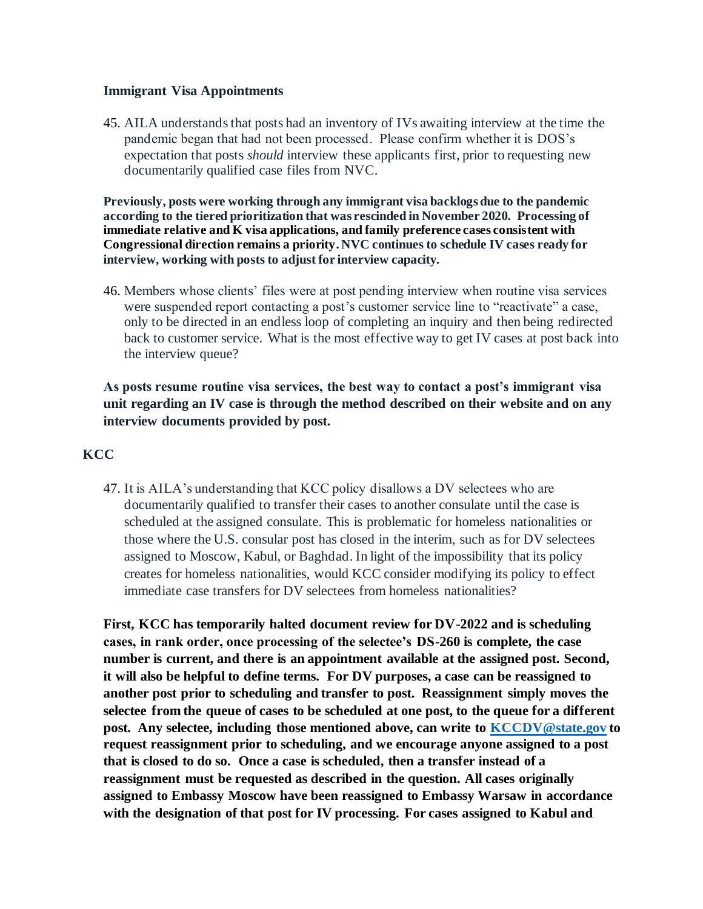#### **Immigrant Visa Appointments**

45. AILA understands that posts had an inventory of IVs awaiting interview at the time the pandemic began that had not been processed. Please confirm whether it is DOS's expectation that posts *should* interview these applicants first, prior to requesting new documentarily qualified case files from NVC.

**Previously, posts were working through any immigrant visa backlogs due to the pandemic according to the tiered prioritization that was rescinded in November 2020. Processing of immediate relative and K visa applications, and family preference cases consistent with Congressional direction remains a priority. NVC continues to schedule IV cases ready for interview, working with posts to adjust for interview capacity.** 

46. Members whose clients' files were at post pending interview when routine visa services were suspended report contacting a post's customer service line to "reactivate" a case, only to be directed in an endless loop of completing an inquiry and then being redirected back to customer service. What is the most effective way to get IV cases at post back into the interview queue?

# **As posts resume routine visa services, the best way to contact a post's immigrant visa unit regarding an IV case is through the method described on their website and on any interview documents provided by post.**

## **KCC**

47. It is AILA's understanding that KCC policy disallows a DV selectees who are documentarily qualified to transfer their cases to another consulate until the case is scheduled at the assigned consulate. This is problematic for homeless nationalities or those where the U.S. consular post has closed in the interim, such as for DV selectees assigned to Moscow, Kabul, or Baghdad. In light of the impossibility that its policy creates for homeless nationalities, would KCC consider modifying its policy to effect immediate case transfers for DV selectees from homeless nationalities?

**First, KCC has temporarily halted document review for DV-2022 and is scheduling cases, in rank order, once processing of the selectee's DS-260 is complete, the case number is current, and there is an appointment available at the assigned post. Second, it will also be helpful to define terms. For DV purposes, a case can be reassigned to another post prior to scheduling and transfer to post. Reassignment simply moves the selectee from the queue of cases to be scheduled at one post, to the queue for a different post. Any selectee, including those mentioned above, can write to KCCDV@state.gov to request reassignment prior to scheduling, and we encourage anyone assigned to a post that is closed to do so. Once a case is scheduled, then a transfer instead of a reassignment must be requested as described in the question. All cases originally assigned to Embassy Moscow have been reassigned to Embassy Warsaw in accordance with the designation of that post for IV processing. For cases assigned to Kabul and**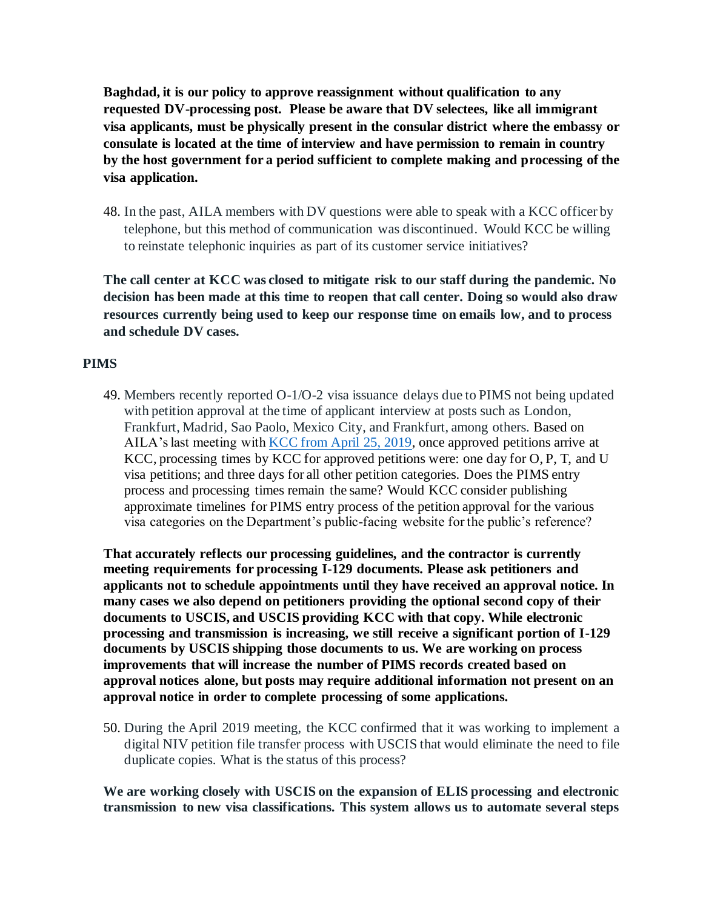**Baghdad, it is our policy to approve reassignment without qualification to any requested DV-processing post. Please be aware that DV selectees, like all immigrant visa applicants, must be physically present in the consular district where the embassy or consulate is located at the time of interview and have permission to remain in country by the host government for a period sufficient to complete making and processing of the visa application.**

48. In the past, AILA members with DV questions were able to speak with a KCC officer by telephone, but this method of communication was discontinued. Would KCC be willing to reinstate telephonic inquiries as part of its customer service initiatives?

**The call center at KCC was closed to mitigate risk to our staff during the pandemic. No decision has been made at this time to reopen that call center. Doing so would also draw resources currently being used to keep our response time on emails low, and to process and schedule DV cases.**

## **PIMS**

49. Members recently reported O-1/O-2 visa issuance delays due to PIMS not being updated with petition approval at the time of applicant interview at posts such as London, Frankfurt, Madrid, Sao Paolo, Mexico City, and Frankfurt, among others. Based on AILA's last meeting with KCC from April 25, 2019, once approved petitions arrive at KCC, processing times by KCC for approved petitions were: one day for O, P, T, and U visa petitions; and three days for all other petition categories. Does the PIMS entry process and processing times remain the same? Would KCC consider publishing approximate timelines for PIMS entry process of the petition approval for the various visa categories on the Department's public-facing website for the public's reference?

**That accurately reflects our processing guidelines, and the contractor is currently meeting requirements for processing I-129 documents. Please ask petitioners and applicants not to schedule appointments until they have received an approval notice. In many cases we also depend on petitioners providing the optional second copy of their documents to USCIS, and USCIS providing KCC with that copy. While electronic processing and transmission is increasing, we still receive a significant portion of I-129 documents by USCIS shipping those documents to us. We are working on process improvements that will increase the number of PIMS records created based on approval notices alone, but posts may require additional information not present on an approval notice in order to complete processing of some applications.**

50. During the April 2019 meeting, the KCC confirmed that it was working to implement a digital NIV petition file transfer process with USCIS that would eliminate the need to file duplicate copies. What is the status of this process?

**We are working closely with USCIS on the expansion of ELIS processing and electronic transmission to new visa classifications. This system allows us to automate several steps**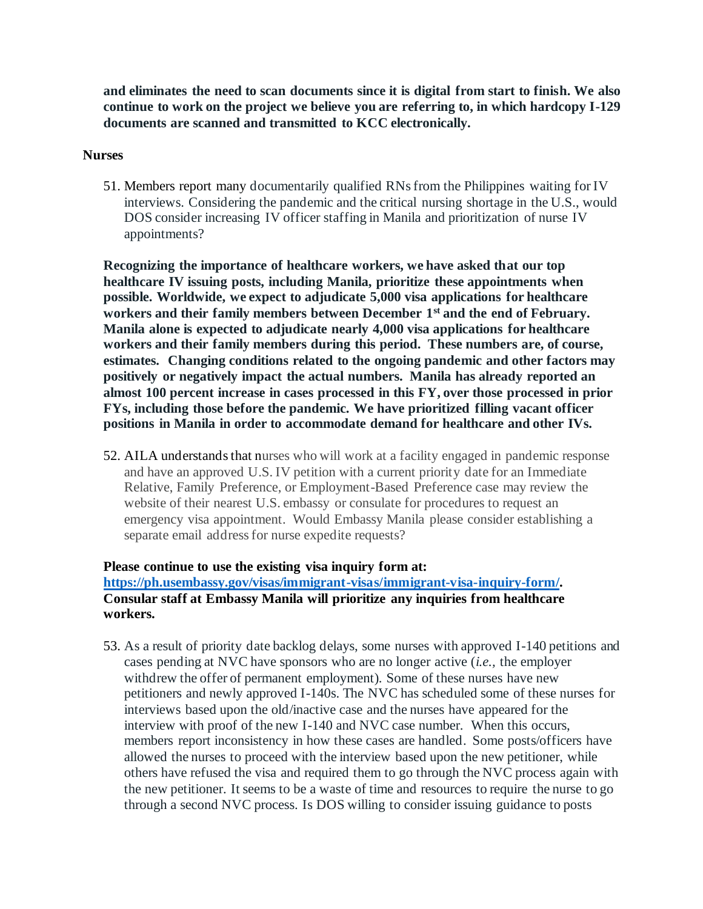**and eliminates the need to scan documents since it is digital from start to finish. We also continue to work on the project we believe you are referring to, in which hardcopy I-129 documents are scanned and transmitted to KCC electronically.**

#### **Nurses**

51. Members report many documentarily qualified RNs from the Philippines waiting for IV interviews. Considering the pandemic and the critical nursing shortage in the U.S., would DOS consider increasing IV officer staffing in Manila and prioritization of nurse IV appointments?

**Recognizing the importance of healthcare workers, we have asked that our top healthcare IV issuing posts, including Manila, prioritize these appointments when possible. Worldwide, we expect to adjudicate 5,000 visa applications for healthcare workers and their family members between December 1st and the end of February. Manila alone is expected to adjudicate nearly 4,000 visa applications for healthcare workers and their family members during this period. These numbers are, of course, estimates. Changing conditions related to the ongoing pandemic and other factors may positively or negatively impact the actual numbers. Manila has already reported an almost 100 percent increase in cases processed in this FY, over those processed in prior FYs, including those before the pandemic. We have prioritized filling vacant officer positions in Manila in order to accommodate demand for healthcare and other IVs.**

52. AILA understands that nurses who will work at a facility engaged in pandemic response and have an approved U.S. IV petition with a current priority date for an Immediate Relative, Family Preference, or Employment-Based Preference case may review the website of their nearest U.S. embassy or consulate for procedures to request an emergency visa appointment. Would Embassy Manila please consider establishing a separate email address for nurse expedite requests?

#### **Please continue to use the existing visa inquiry form at: https://ph.usembassy.gov/visas/immigrant-visas/immigrant-visa-inquiry-form/. Consular staff at Embassy Manila will prioritize any inquiries from healthcare workers.**

53. As a result of priority date backlog delays, some nurses with approved I-140 petitions and cases pending at NVC have sponsors who are no longer active (*i.e.,* the employer withdrew the offer of permanent employment). Some of these nurses have new petitioners and newly approved I-140s. The NVC has scheduled some of these nurses for interviews based upon the old/inactive case and the nurses have appeared for the interview with proof of the new I-140 and NVC case number. When this occurs, members report inconsistency in how these cases are handled. Some posts/officers have allowed the nurses to proceed with the interview based upon the new petitioner, while others have refused the visa and required them to go through the NVC process again with the new petitioner. It seems to be a waste of time and resources to require the nurse to go through a second NVC process. Is DOS willing to consider issuing guidance to posts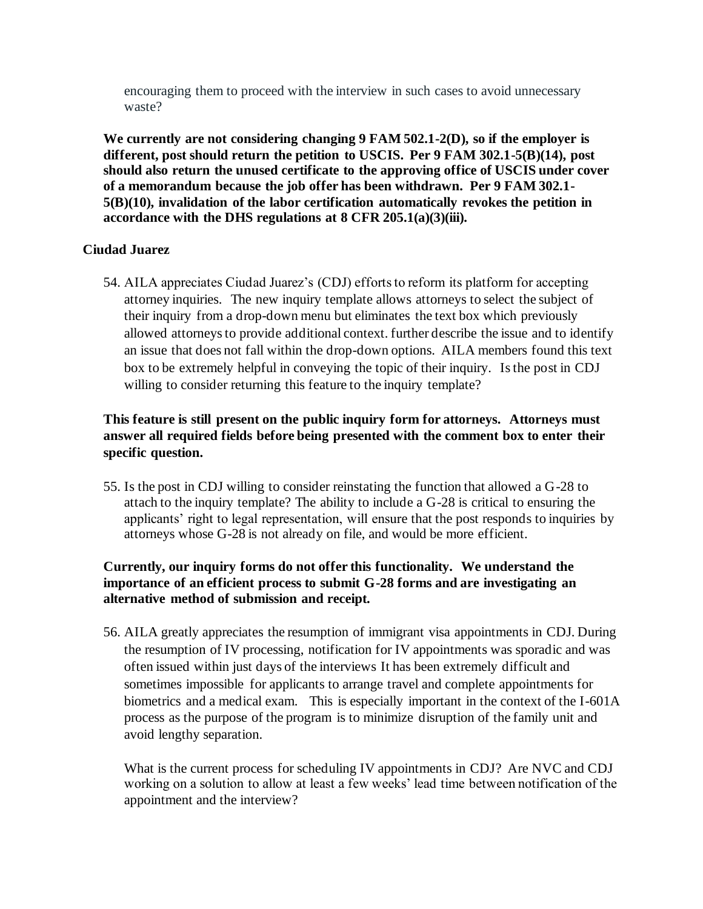encouraging them to proceed with the interview in such cases to avoid unnecessary waste?

**We currently are not considering changing 9 FAM 502.1-2(D), so if the employer is different, post should return the petition to USCIS. Per 9 FAM 302.1-5(B)(14), post should also return the unused certificate to the approving office of USCIS under cover of a memorandum because the job offer has been withdrawn. Per 9 FAM 302.1- 5(B)(10), invalidation of the labor certification automatically revokes the petition in accordance with the DHS regulations at 8 CFR 205.1(a)(3)(iii).**

#### **Ciudad Juarez**

54. AILA appreciates Ciudad Juarez's (CDJ) efforts to reform its platform for accepting attorney inquiries. The new inquiry template allows attorneys to select the subject of their inquiry from a drop-down menu but eliminates the text box which previously allowed attorneys to provide additional context. further describe the issue and to identify an issue that does not fall within the drop-down options. AILA members found this text box to be extremely helpful in conveying the topic of their inquiry. Is the post in CDJ willing to consider returning this feature to the inquiry template?

# **This feature is still present on the public inquiry form for attorneys. Attorneys must answer all required fields before being presented with the comment box to enter their specific question.**

55. Is the post in CDJ willing to consider reinstating the function that allowed a G-28 to attach to the inquiry template? The ability to include a G-28 is critical to ensuring the applicants' right to legal representation, will ensure that the post responds to inquiries by attorneys whose G-28 is not already on file, and would be more efficient.

## **Currently, our inquiry forms do not offer this functionality. We understand the importance of an efficient process to submit G-28 forms and are investigating an alternative method of submission and receipt.**

56. AILA greatly appreciates the resumption of immigrant visa appointments in CDJ. During the resumption of IV processing, notification for IV appointments was sporadic and was often issued within just days of the interviews It has been extremely difficult and sometimes impossible for applicants to arrange travel and complete appointments for biometrics and a medical exam. This is especially important in the context of the I-601A process as the purpose of the program is to minimize disruption of the family unit and avoid lengthy separation.

What is the current process for scheduling IV appointments in CDJ? Are NVC and CDJ working on a solution to allow at least a few weeks' lead time between notification of the appointment and the interview?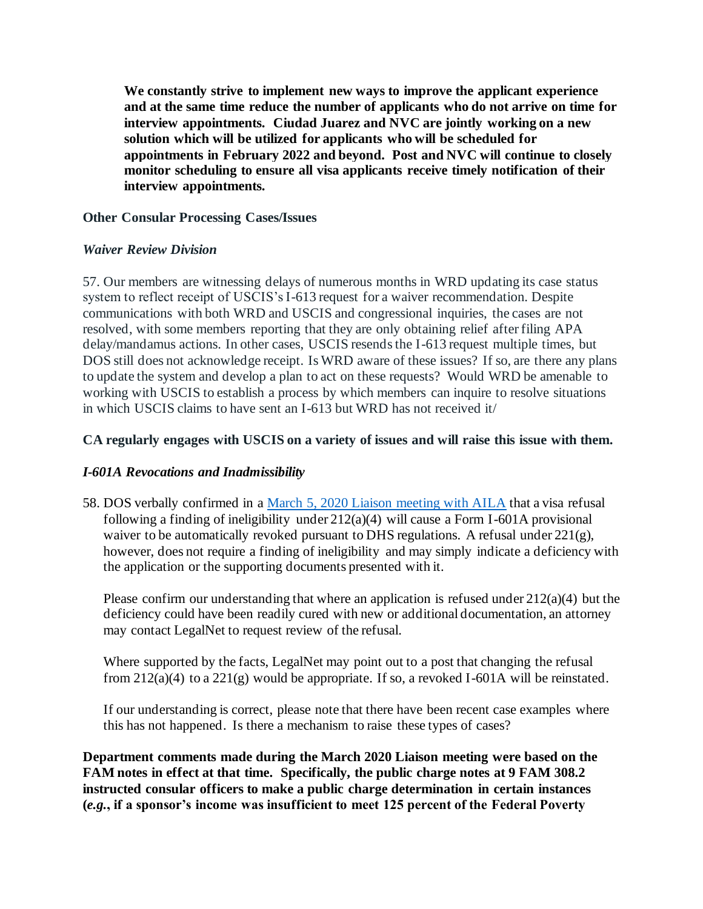**We constantly strive to implement new ways to improve the applicant experience and at the same time reduce the number of applicants who do not arrive on time for interview appointments. Ciudad Juarez and NVC are jointly working on a new solution which will be utilized for applicants who will be scheduled for appointments in February 2022 and beyond. Post and NVC will continue to closely monitor scheduling to ensure all visa applicants receive timely notification of their interview appointments.**

#### **Other Consular Processing Cases/Issues**

## *Waiver Review Division*

57. Our members are witnessing delays of numerous months in WRD updating its case status system to reflect receipt of USCIS's I-613 request for a waiver recommendation. Despite communications with both WRD and USCIS and congressional inquiries, the cases are not resolved, with some members reporting that they are only obtaining relief after filing APA delay/mandamus actions. In other cases, USCIS resends the I-613 request multiple times, but DOS still does not acknowledge receipt. Is WRD aware of these issues? If so, are there any plans to update the system and develop a plan to act on these requests? Would WRD be amenable to working with USCIS to establish a process by which members can inquire to resolve situations in which USCIS claims to have sent an I-613 but WRD has not received it/

## **CA regularly engages with USCIS on a variety of issues and will raise this issue with them.**

## *I-601A Revocations and Inadmissibility*

58. DOS verbally confirmed in a March 5, 2020 Liaison meeting with AILA that a visa refusal following a finding of ineligibility under  $212(a)(4)$  will cause a Form I-601A provisional waiver to be automatically revoked pursuant to DHS regulations. A refusal under 221(g), however, does not require a finding of ineligibility and may simply indicate a deficiency with the application or the supporting documents presented with it.

Please confirm our understanding that where an application is refused under  $212(a)(4)$  but the deficiency could have been readily cured with new or additional documentation, an attorney may contact LegalNet to request review of the refusal.

Where supported by the facts, LegalNet may point out to a post that changing the refusal from  $212(a)(4)$  to a  $221(g)$  would be appropriate. If so, a revoked I-601A will be reinstated.

If our understanding is correct, please note that there have been recent case examples where this has not happened. Is there a mechanism to raise these types of cases?

**Department comments made during the March 2020 Liaison meeting were based on the FAM notes in effect at that time. Specifically, the public charge notes at 9 FAM 308.2 instructed consular officers to make a public charge determination in certain instances (***e.g.***, if a sponsor's income was insufficient to meet 125 percent of the Federal Poverty**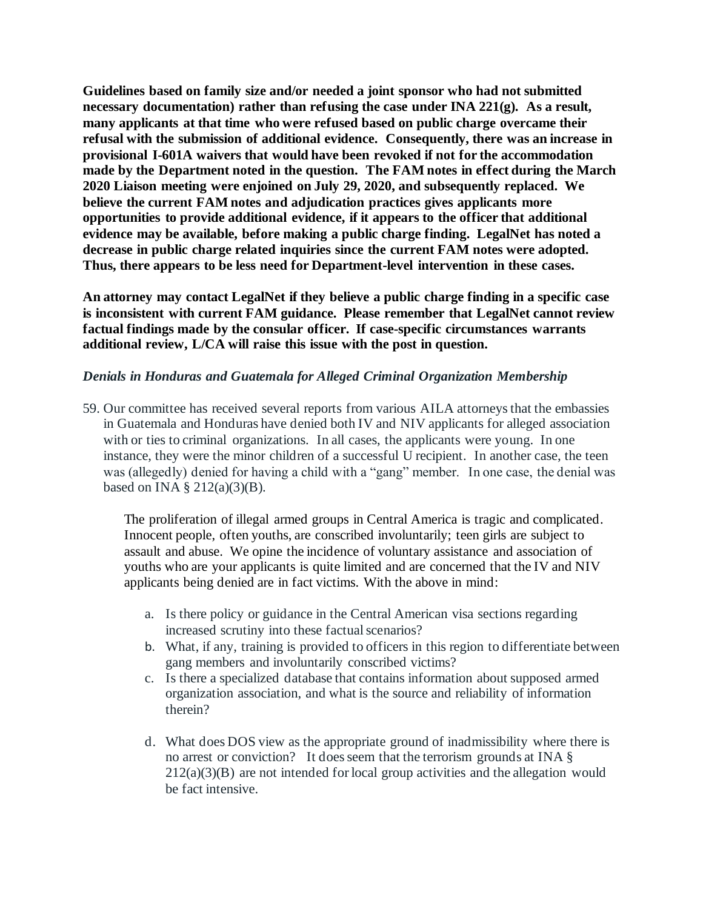**Guidelines based on family size and/or needed a joint sponsor who had not submitted necessary documentation) rather than refusing the case under INA 221(g). As a result, many applicants at that time who were refused based on public charge overcame their refusal with the submission of additional evidence. Consequently, there was an increase in provisional I-601A waivers that would have been revoked if not for the accommodation made by the Department noted in the question. The FAM notes in effect during the March 2020 Liaison meeting were enjoined on July 29, 2020, and subsequently replaced. We believe the current FAM notes and adjudication practices gives applicants more opportunities to provide additional evidence, if it appears to the officer that additional evidence may be available, before making a public charge finding. LegalNet has noted a decrease in public charge related inquiries since the current FAM notes were adopted. Thus, there appears to be less need for Department-level intervention in these cases.**

**An attorney may contact LegalNet if they believe a public charge finding in a specific case is inconsistent with current FAM guidance. Please remember that LegalNet cannot review factual findings made by the consular officer. If case-specific circumstances warrants additional review, L/CA will raise this issue with the post in question.** 

#### *Denials in Honduras and Guatemala for Alleged Criminal Organization Membership*

59. Our committee has received several reports from various AILA attorneys that the embassies in Guatemala and Honduras have denied both IV and NIV applicants for alleged association with or ties to criminal organizations. In all cases, the applicants were young. In one instance, they were the minor children of a successful U recipient. In another case, the teen was (allegedly) denied for having a child with a "gang" member. In one case, the denial was based on INA  $\S$  212(a)(3)(B).

The proliferation of illegal armed groups in Central America is tragic and complicated. Innocent people, often youths, are conscribed involuntarily; teen girls are subject to assault and abuse. We opine the incidence of voluntary assistance and association of youths who are your applicants is quite limited and are concerned that the IV and NIV applicants being denied are in fact victims. With the above in mind:

- a. Is there policy or guidance in the Central American visa sections regarding increased scrutiny into these factual scenarios?
- b. What, if any, training is provided to officers in this region to differentiate between gang members and involuntarily conscribed victims?
- c. Is there a specialized database that contains information about supposed armed organization association, and what is the source and reliability of information therein?
- d. What does DOS view as the appropriate ground of inadmissibility where there is no arrest or conviction? It does seem that the terrorism grounds at INA §  $212(a)(3)(B)$  are not intended for local group activities and the allegation would be fact intensive.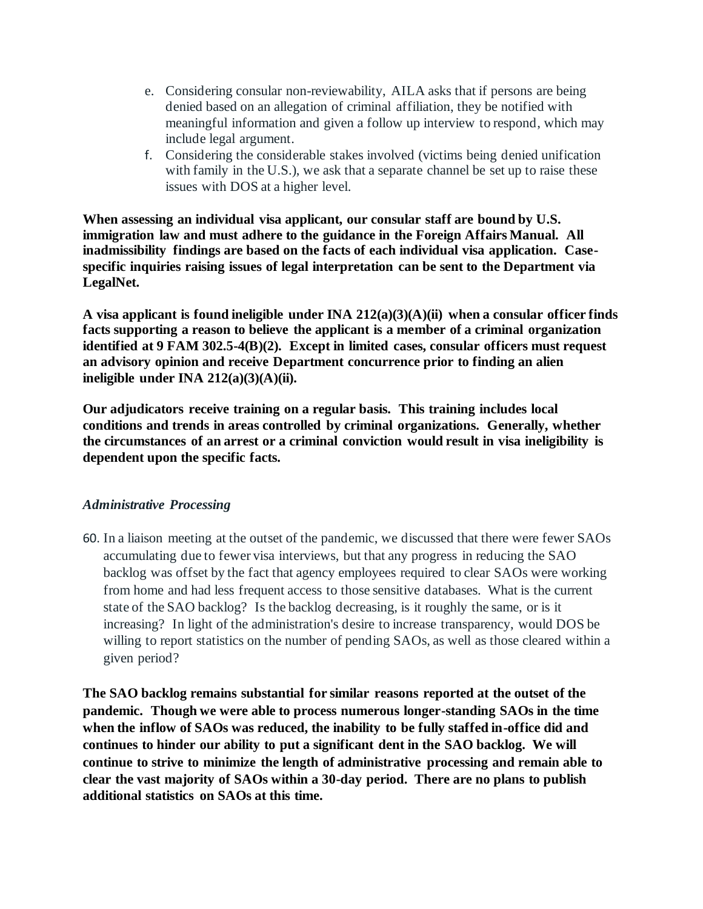- e. Considering consular non-reviewability, AILA asks that if persons are being denied based on an allegation of criminal affiliation, they be notified with meaningful information and given a follow up interview to respond, which may include legal argument.
- f. Considering the considerable stakes involved (victims being denied unification with family in the U.S.), we ask that a separate channel be set up to raise these issues with DOS at a higher level.

**When assessing an individual visa applicant, our consular staff are bound by U.S. immigration law and must adhere to the guidance in the Foreign Affairs Manual. All inadmissibility findings are based on the facts of each individual visa application. Casespecific inquiries raising issues of legal interpretation can be sent to the Department via LegalNet.**

**A visa applicant is found ineligible under INA 212(a)(3)(A)(ii) when a consular officer finds facts supporting a reason to believe the applicant is a member of a criminal organization identified at 9 FAM 302.5-4(B)(2). Except in limited cases, consular officers must request an advisory opinion and receive Department concurrence prior to finding an alien ineligible under INA 212(a)(3)(A)(ii).**

**Our adjudicators receive training on a regular basis. This training includes local conditions and trends in areas controlled by criminal organizations. Generally, whether the circumstances of an arrest or a criminal conviction would result in visa ineligibility is dependent upon the specific facts.** 

## *Administrative Processing*

60. In a liaison meeting at the outset of the pandemic, we discussed that there were fewer SAOs accumulating due to fewer visa interviews, but that any progress in reducing the SAO backlog was offset by the fact that agency employees required to clear SAOs were working from home and had less frequent access to those sensitive databases. What is the current state of the SAO backlog? Is the backlog decreasing, is it roughly the same, or is it increasing? In light of the administration's desire to increase transparency, would DOS be willing to report statistics on the number of pending SAOs, as well as those cleared within a given period?

**The SAO backlog remains substantial for similar reasons reported at the outset of the pandemic. Though we were able to process numerous longer-standing SAOs in the time when the inflow of SAOs was reduced, the inability to be fully staffed in-office did and continues to hinder our ability to put a significant dent in the SAO backlog. We will continue to strive to minimize the length of administrative processing and remain able to clear the vast majority of SAOs within a 30-day period. There are no plans to publish additional statistics on SAOs at this time.**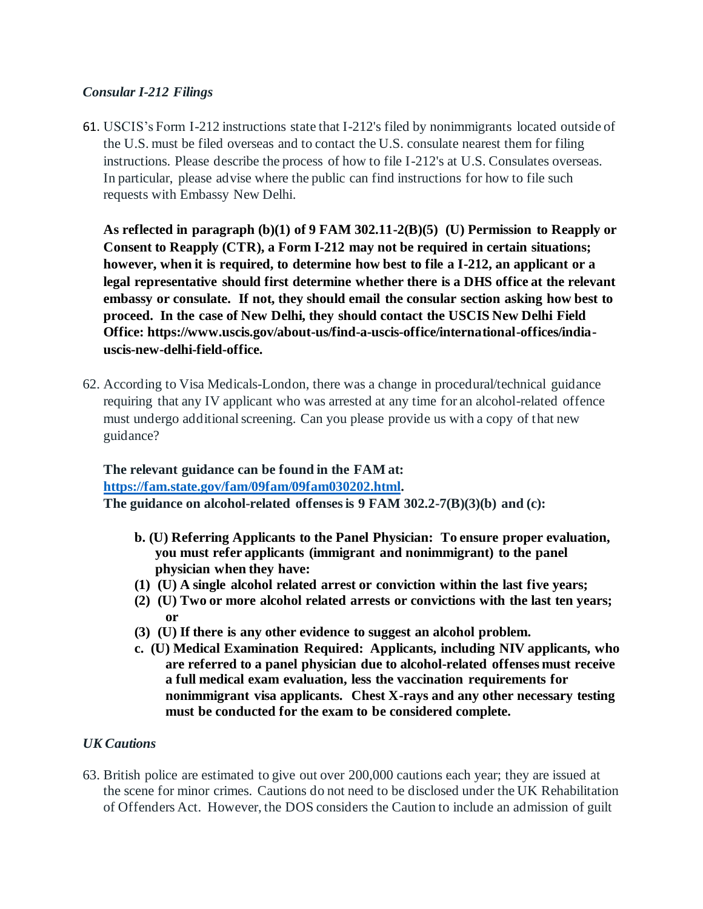## *Consular I-212 Filings*

61. USCIS's Form I-212 instructions state that I-212's filed by nonimmigrants located outside of the U.S. must be filed overseas and to contact the U.S. consulate nearest them for filing instructions. Please describe the process of how to file I-212's at U.S. Consulates overseas. In particular, please advise where the public can find instructions for how to file such requests with Embassy New Delhi.

**As reflected in paragraph (b)(1) of 9 FAM 302.11-2(B)(5) (U) Permission to Reapply or Consent to Reapply (CTR), a Form I-212 may not be required in certain situations; however, when it is required, to determine how best to file a I-212, an applicant or a legal representative should first determine whether there is a DHS office at the relevant embassy or consulate. If not, they should email the consular section asking how best to proceed. In the case of New Delhi, they should contact the USCIS New Delhi Field Office: https://www.uscis.gov/about-us/find-a-uscis-office/international-offices/indiauscis-new-delhi-field-office.** 

62. According to Visa Medicals-London, there was a change in procedural/technical guidance requiring that any IV applicant who was arrested at any time for an alcohol-related offence must undergo additional screening. Can you please provide us with a copy of that new guidance?

# **The relevant guidance can be found in the FAM at: https://fam.state.gov/fam/09fam/09fam030202.html. The guidance on alcohol-related offenses is 9 FAM 302.2-7(B)(3)(b) and (c):**

- **b. (U) Referring Applicants to the Panel Physician: To ensure proper evaluation, you must refer applicants (immigrant and nonimmigrant) to the panel physician when they have:**
- **(1) (U) A single alcohol related arrest or conviction within the last five years;**
- **(2) (U) Two or more alcohol related arrests or convictions with the last ten years; or**
- **(3) (U) If there is any other evidence to suggest an alcohol problem.**
- **c. (U) Medical Examination Required: Applicants, including NIV applicants, who are referred to a panel physician due to alcohol-related offenses must receive a full medical exam evaluation, less the vaccination requirements for nonimmigrant visa applicants. Chest X-rays and any other necessary testing must be conducted for the exam to be considered complete.**

#### *UK Cautions*

63. British police are estimated to give out over 200,000 cautions each year; they are issued at the scene for minor crimes. Cautions do not need to be disclosed under the UK Rehabilitation of Offenders Act. However, the DOS considers the Caution to include an admission of guilt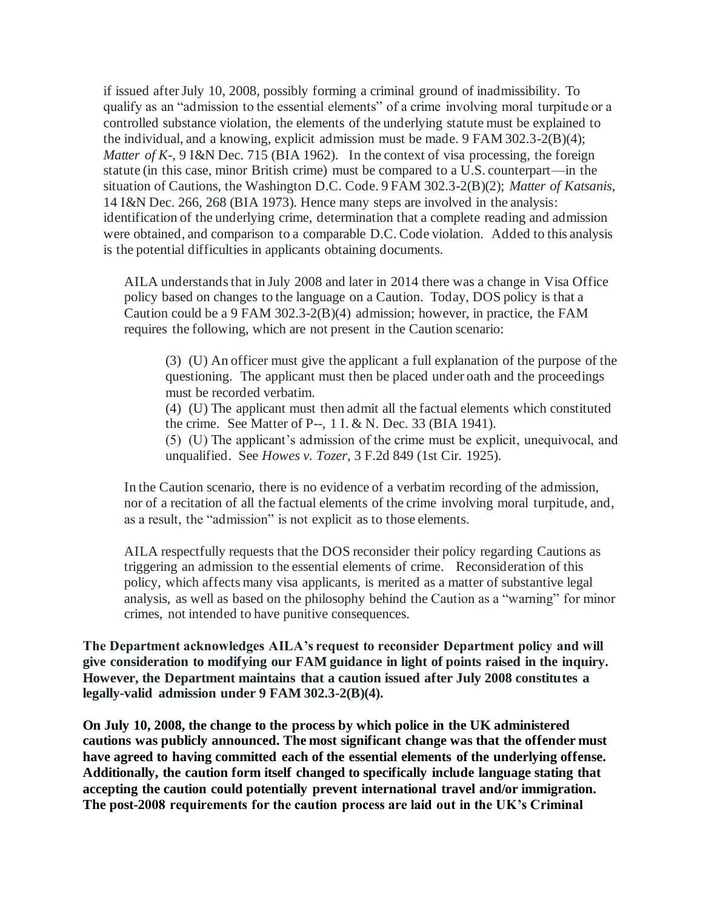if issued after July 10, 2008, possibly forming a criminal ground of inadmissibility. To qualify as an "admission to the essential elements" of a crime involving moral turpitude or a controlled substance violation, the elements of the underlying statute must be explained to the individual, and a knowing, explicit admission must be made. 9 FAM 302.3-2(B)(4); *Matter of K-*, 9 I&N Dec. 715 (BIA 1962). In the context of visa processing, the foreign statute (in this case, minor British crime) must be compared to a U.S. counterpart—in the situation of Cautions, the Washington D.C. Code. 9 FAM 302.3-2(B)(2); *Matter of Katsanis*, 14 I&N Dec. 266, 268 (BIA 1973). Hence many steps are involved in the analysis: identification of the underlying crime, determination that a complete reading and admission were obtained, and comparison to a comparable D.C. Code violation. Added to this analysis is the potential difficulties in applicants obtaining documents.

AILA understands that in July 2008 and later in 2014 there was a change in Visa Office policy based on changes to the language on a Caution. Today, DOS policy is that a Caution could be a 9 FAM 302.3-2(B)(4) admission; however, in practice, the FAM requires the following, which are not present in the Caution scenario:

(3) (U) An officer must give the applicant a full explanation of the purpose of the questioning. The applicant must then be placed under oath and the proceedings must be recorded verbatim.

(4) (U) The applicant must then admit all the factual elements which constituted the crime. See Matter of P--, 1 I. & N. Dec. 33 (BIA 1941).

(5) (U) The applicant's admission of the crime must be explicit, unequivocal, and unqualified. See *Howes v. Tozer*, 3 F.2d 849 (1st Cir. 1925).

In the Caution scenario, there is no evidence of a verbatim recording of the admission, nor of a recitation of all the factual elements of the crime involving moral turpitude, and, as a result, the "admission" is not explicit as to those elements.

AILA respectfully requests that the DOS reconsider their policy regarding Cautions as triggering an admission to the essential elements of crime. Reconsideration of this policy, which affects many visa applicants, is merited as a matter of substantive legal analysis, as well as based on the philosophy behind the Caution as a "warning" for minor crimes, not intended to have punitive consequences.

**The Department acknowledges AILA's request to reconsider Department policy and will give consideration to modifying our FAM guidance in light of points raised in the inquiry. However, the Department maintains that a caution issued after July 2008 constitutes a legally-valid admission under 9 FAM 302.3-2(B)(4).** 

**On July 10, 2008, the change to the process by which police in the UK administered cautions was publicly announced. The most significant change was that the offender must have agreed to having committed each of the essential elements of the underlying offense. Additionally, the caution form itself changed to specifically include language stating that accepting the caution could potentially prevent international travel and/or immigration. The post-2008 requirements for the caution process are laid out in the UK's Criminal**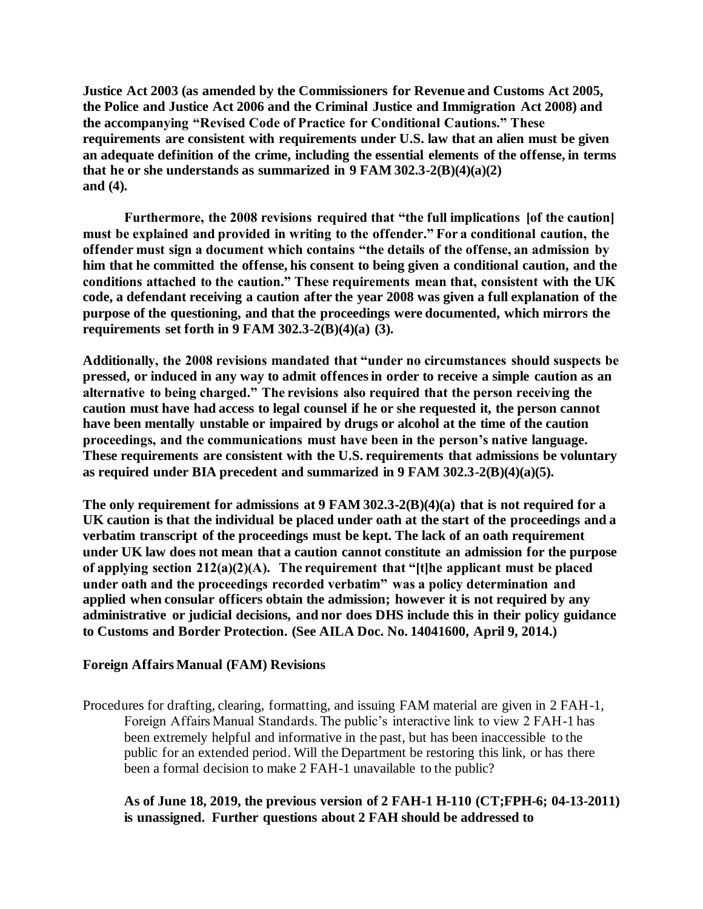**Justice Act 2003 (as amended by the Commissioners for Revenue and Customs Act 2005, the Police and Justice Act 2006 and the Criminal Justice and Immigration Act 2008) and the accompanying "Revised Code of Practice for Conditional Cautions." These requirements are consistent with requirements under U.S. law that an alien must be given an adequate definition of the crime, including the essential elements of the offense, in terms that he or she understands as summarized in 9 FAM 302.3-2(B)(4)(a)(2) and (4).**

**Furthermore, the 2008 revisions required that "the full implications [of the caution] must be explained and provided in writing to the offender." For a conditional caution, the offender must sign a document which contains "the details of the offense, an admission by him that he committed the offense, his consent to being given a conditional caution, and the conditions attached to the caution." These requirements mean that, consistent with the UK code, a defendant receiving a caution after the year 2008 was given a full explanation of the purpose of the questioning, and that the proceedings were documented, which mirrors the requirements set forth in 9 FAM 302.3-2(B)(4)(a) (3).**

**Additionally, the 2008 revisions mandated that "under no circumstances should suspects be pressed, or induced in any way to admit offences in order to receive a simple caution as an alternative to being charged." The revisions also required that the person receiving the caution must have had access to legal counsel if he or she requested it, the person cannot have been mentally unstable or impaired by drugs or alcohol at the time of the caution proceedings, and the communications must have been in the person's native language. These requirements are consistent with the U.S. requirements that admissions be voluntary as required under BIA precedent and summarized in 9 FAM 302.3-2(B)(4)(a)(5).**

**The only requirement for admissions at 9 FAM 302.3-2(B)(4)(a) that is not required for a UK caution is that the individual be placed under oath at the start of the proceedings and a verbatim transcript of the proceedings must be kept. The lack of an oath requirement under UK law does not mean that a caution cannot constitute an admission for the purpose of applying section 212(a)(2)(A). The requirement that "[t]he applicant must be placed under oath and the proceedings recorded verbatim" was a policy determination and applied when consular officers obtain the admission; however it is not required by any administrative or judicial decisions, and nor does DHS include this in their policy guidance to Customs and Border Protection. (See AILA Doc. No. 14041600, April 9, 2014.)** 

#### **Foreign Affairs Manual (FAM) Revisions**

Procedures for drafting, clearing, formatting, and issuing FAM material are given in 2 FAH-1, Foreign Affairs Manual Standards. The public's interactive link to view 2 FAH-1 has been extremely helpful and informative in the past, but has been inaccessible to the public for an extended period. Will the Department be restoring this link, or has there been a formal decision to make 2 FAH-1 unavailable to the public?

#### **As of June 18, 2019, the previous version of 2 FAH-1 H-110 (CT;FPH-6; 04-13-2011) is unassigned. Further questions about 2 FAH should be addressed to**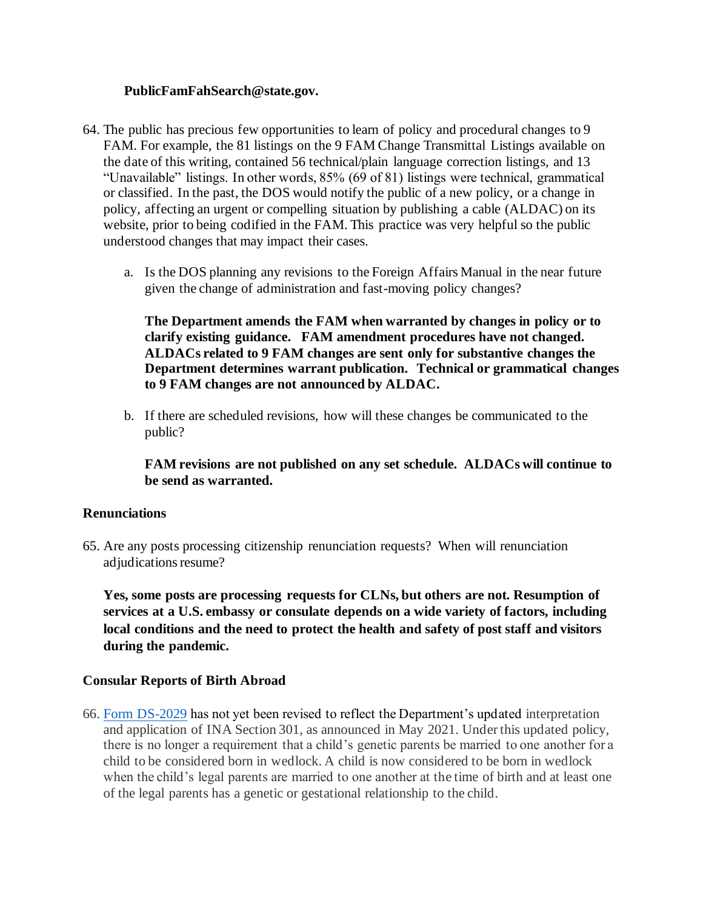#### **PublicFamFahSearch@state.gov.**

- 64. The public has precious few opportunities to learn of policy and procedural changes to 9 FAM. For example, the 81 listings on the 9 FAM Change Transmittal Listings available on the date of this writing, contained 56 technical/plain language correction listings, and 13 "Unavailable" listings. In other words, 85% (69 of 81) listings were technical, grammatical or classified. In the past, the DOS would notify the public of a new policy, or a change in policy, affecting an urgent or compelling situation by publishing a cable (ALDAC) on its website, prior to being codified in the FAM. This practice was very helpful so the public understood changes that may impact their cases.
	- a. Is the DOS planning any revisions to the Foreign Affairs Manual in the near future given the change of administration and fast-moving policy changes?

**The Department amends the FAM when warranted by changes in policy or to clarify existing guidance. FAM amendment procedures have not changed. ALDACs related to 9 FAM changes are sent only for substantive changes the Department determines warrant publication. Technical or grammatical changes to 9 FAM changes are not announced by ALDAC.**

b. If there are scheduled revisions, how will these changes be communicated to the public?

**FAM revisions are not published on any set schedule. ALDACs will continue to be send as warranted.**

#### **Renunciations**

65. Are any posts processing citizenship renunciation requests? When will renunciation adjudications resume?

**Yes, some posts are processing requests for CLNs, but others are not. Resumption of services at a U.S. embassy or consulate depends on a wide variety of factors, including local conditions and the need to protect the health and safety of post staff and visitors during the pandemic.**

#### **Consular Reports of Birth Abroad**

66. Form DS-2029 has not yet been revised to reflect the Department's updated interpretation and application of INA Section 301, as announced in May 2021. Under this updated policy, there is no longer a requirement that a child's genetic parents be married to one another for a child to be considered born in wedlock. A child is now considered to be born in wedlock when the child's legal parents are married to one another at the time of birth and at least one of the legal parents has a genetic or gestational relationship to the child.